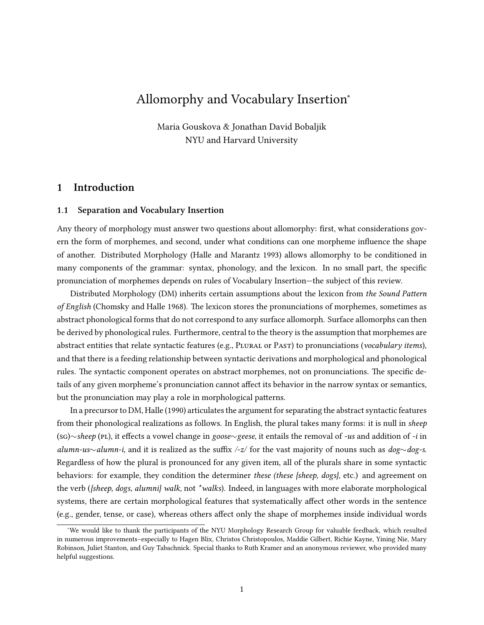# Allomorphy and Vocabulary Insertion<sup>∗</sup>

Maria Gouskova & Jonathan David Bobaljik NYU and Harvard University

# **1 Introduction**

#### **1.1 Separation and Vocabulary Insertion**

Any theory of morphology must answer two questions about allomorphy: first, what considerations govern the form of morphemes, and second, under what conditions can one morpheme influence the shape of another. Distributed Morphology [\(Halle and Marantz](#page-29-0) [1993\)](#page-29-0) allows allomorphy to be conditioned in many components of the grammar: syntax, phonology, and the lexicon. In no small part, the specific pronunciation of morphemes depends on rules of Vocabulary Insertion—the subject of this review.

Distributed Morphology (DM) inherits certain assumptions about the lexicon from *the Sound Pattern of English* [\(Chomsky and Halle](#page-28-0) [1968](#page-28-0)). The lexicon stores the pronunciations of morphemes, sometimes as abstract phonological forms that do not correspond to any surface allomorph. Surface allomorphs can then be derived by phonological rules. Furthermore, central to the theory is the assumption that morphemes are abstract entities that relate syntactic features (e.g., Plural or Past) to pronunciations (*vocabulary items*), and that there is a feeding relationship between syntactic derivations and morphological and phonological rules. The syntactic component operates on abstract morphemes, not on pronunciations. The specific details of any given morpheme's pronunciation cannot affect its behavior in the narrow syntax or semantics, but the pronunciation may play a role in morphological patterns.

In a precursor to DM, [Halle](#page-29-1) ([1990](#page-29-1)) articulates the argument for separating the abstract syntactic features from their phonological realizations as follows. In English, the plural takes many forms: it is null in *sheep* (sg)*∼sheep* (pl), it effects a vowel change in *goose∼geese*, it entails the removal of *-us* and addition of *-i* in *alumn-us∼alumn-i*, and it is realized as the suffix */-z/* for the vast majority of nouns such as *dog∼dog-s*. Regardless of how the plural is pronounced for any given item, all of the plurals share in some syntactic behaviors: for example, they condition the determiner *these (these {sheep, dogs},* etc.) and agreement on the verb (*{sheep, dogs, alumni} walk*, not *\*walks*). Indeed, in languages with more elaborate morphological systems, there are certain morphological features that systematically affect other words in the sentence (e.g., gender, tense, or case), whereas others affect only the shape of morphemes inside individual words

<sup>∗</sup>We would like to thank the participants of the NYU Morphology Research Group for valuable feedback, which resulted in numerous improvements–especially to Hagen Blix, Christos Christopoulos, Maddie Gilbert, Richie Kayne, Yining Nie, Mary Robinson, Juliet Stanton, and Guy Tabachnick. Special thanks to Ruth Kramer and an anonymous reviewer, who provided many helpful suggestions.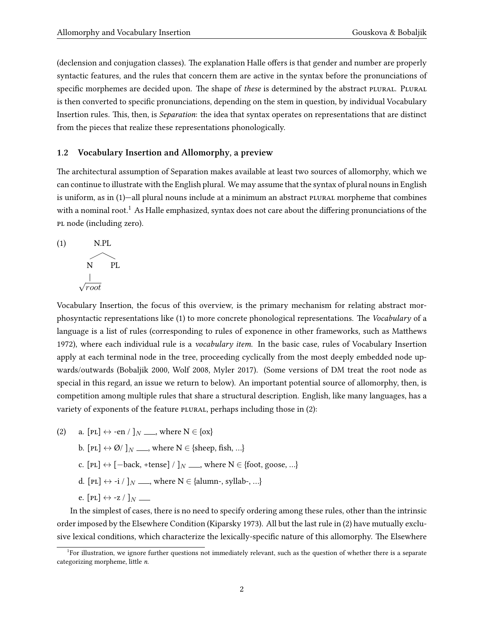(declension and conjugation classes). The explanation Halle offers is that gender and number are properly syntactic features, and the rules that concern them are active in the syntax before the pronunciations of specific morphemes are decided upon. The shape of *these* is determined by the abstract PLURAL. PLURAL is then converted to specific pronunciations, depending on the stem in question, by individual Vocabulary Insertion rules. This, then, is *Separation*: the idea that syntax operates on representations that are distinct from the pieces that realize these representations phonologically.

### <span id="page-1-3"></span>**1.2 Vocabulary Insertion and Allomorphy, a preview**

The architectural assumption of Separation makes available at least two sources of allomorphy, which we can continue to illustrate with the English plural. We may assume that the syntax of plural nouns in English is uniform, as in [\(1](#page-1-0))—all plural nouns include at a minimum an abstract plural morpheme that combines with a nominal root.<sup>[1](#page-1-1)</sup> As Halle emphasized, syntax does not care about the differing pronunciations of the pl node (including zero).

<span id="page-1-0"></span>
$$
(1) \qquad \qquad \text{N.PL}
$$
\n
$$
\text{N. PL}
$$
\n
$$
\downarrow
$$
\n
$$
\sqrt{root}
$$

Vocabulary Insertion, the focus of this overview, is the primary mechanism for relating abstract morphosyntactic representations like [\(1](#page-1-0)) to more concrete phonological representations. The *Vocabulary* of a language is a list of rules (corresponding to rules of exponence in other frameworks, such as [Matthews](#page-31-0) [1972](#page-31-0)), where each individual rule is a *vocabulary item*. In the basic case, rules of Vocabulary Insertion apply at each terminal node in the tree, proceeding cyclically from the most deeply embedded node upwards/outwards [\(Bobaljik](#page-28-1) [2000](#page-28-1), [Wolf](#page-32-0) [2008,](#page-32-0) [Myler](#page-31-1) [2017\)](#page-31-1). (Some versions of DM treat the root node as special in this regard, an issue we return to below). An important potential source of allomorphy, then, is competition among multiple rules that share a structural description. English, like many languages, has a varietyof exponents of the feature plural, perhaps including those in ([2\)](#page-1-2):

<span id="page-1-2"></span>(2) a.  $[PL] \leftrightarrow \text{-en} / |N \text{...} \text{ where } N \in \{\text{ox}\}\$ 

- b.  $[PL] \leftrightarrow \emptyset / \big|_N \dots$ , where  $N \in \{\text{sheep, fish}, \dots\}$
- c.  $[PL]$   $\leftrightarrow$   $[-back, +tense]$  /  $]$ *N* , where N ∈ {foot, goose, ...}
- d. [PL]  $\leftrightarrow$  -i / ] $_N$  , where N  $\in$  {alumn-, syllab-, ...}
- e.  $[PL] \leftrightarrow -z /$  ]*N* —

In the simplest of cases, there is no need to specify ordering among these rules, other than the intrinsic order imposed by the Elsewhere Condition [\(Kiparsky](#page-30-0) [1973\)](#page-30-0). All but the last rule in [\(2](#page-1-2)) have mutually exclusive lexical conditions, which characterize the lexically-specific nature of this allomorphy. The Elsewhere

<span id="page-1-1"></span><sup>&</sup>lt;sup>1</sup>For illustration, we ignore further questions not immediately relevant, such as the question of whether there is a separate categorizing morpheme, little *n*.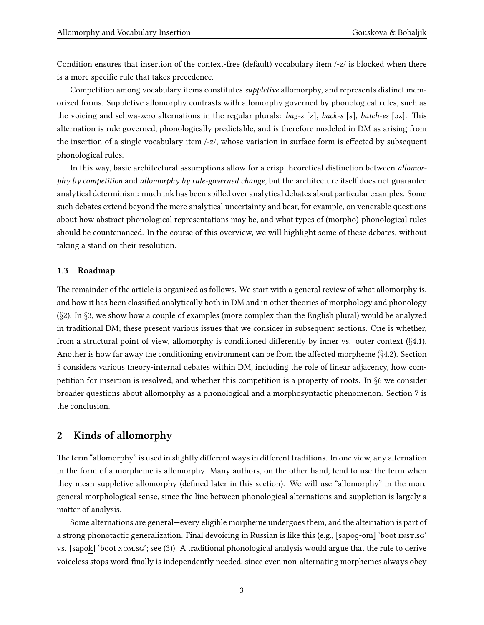Condition ensures that insertion of the context-free (default) vocabulary item /-z/ is blocked when there is a more specific rule that takes precedence.

Competition among vocabulary items constitutes *suppletive* allomorphy, and represents distinct memorized forms. Suppletive allomorphy contrasts with allomorphy governed by phonological rules, such as the voicing and schwa-zero alternations in the regular plurals: *bag-s* [z], *back-s* [s], *batch-es* [əz]. This alternation is rule governed, phonologically predictable, and is therefore modeled in DM as arising from the insertion of a single vocabulary item /-z/, whose variation in surface form is effected by subsequent phonological rules.

In this way, basic architectural assumptions allow for a crisp theoretical distinction between *allomorphy by competition* and *allomorphy by rule-governed change*, but the architecture itself does not guarantee analytical determinism: much ink has been spilled over analytical debates about particular examples. Some such debates extend beyond the mere analytical uncertainty and bear, for example, on venerable questions about how abstract phonological representations may be, and what types of (morpho)-phonological rules should be countenanced. In the course of this overview, we will highlight some of these debates, without taking a stand on their resolution.

#### **1.3 Roadmap**

The remainder of the article is organized as follows. We start with a general review of what allomorphy is, and how it has been classified analytically both in DM and in other theories of morphology and phonology (*§*[2](#page-2-0)). In *§*[3](#page-4-0), we show how a couple of examples (more complex than the English plural) would be analyzed in traditional DM; these present various issues that we consider in subsequent sections. One is whether, from a structural point of view, allomorphy is conditioned differently by inner vs. outer context (*§*[4.1](#page-7-0)). Another is how far away the conditioning environment can be from the affected morpheme (*§*[4.2](#page-11-0)). Section [5](#page-12-0) considers various theory-internal debates within DM, including the role of linear adjacency, how competition for insertion is resolved, and whether this competition is a property of roots. In *§*[6](#page-19-0) we consider broader questions about allomorphy as a phonological and a morphosyntactic phenomenon. Section [7](#page-27-0) is the conclusion.

# <span id="page-2-0"></span>**2 Kinds of allomorphy**

The term "allomorphy" is used in slightly different ways in different traditions. In one view, any alternation in the form of a morpheme is allomorphy. Many authors, on the other hand, tend to use the term when they mean suppletive allomorphy (defined later in this section). We will use "allomorphy" in the more general morphological sense, since the line between phonological alternations and suppletion is largely a matter of analysis.

Some alternations are general—every eligible morpheme undergoes them, and the alternation is part of a strong phonotactic generalization. Final devoicing in Russian is like this (e.g., [sapoq-om] 'boot inst.sg' vs. [sapok] 'boot nom.sg'; see [\(3](#page-4-1))). A traditional phonological analysis would argue that the rule to derive voiceless stops word-finally is independently needed, since even non-alternating morphemes always obey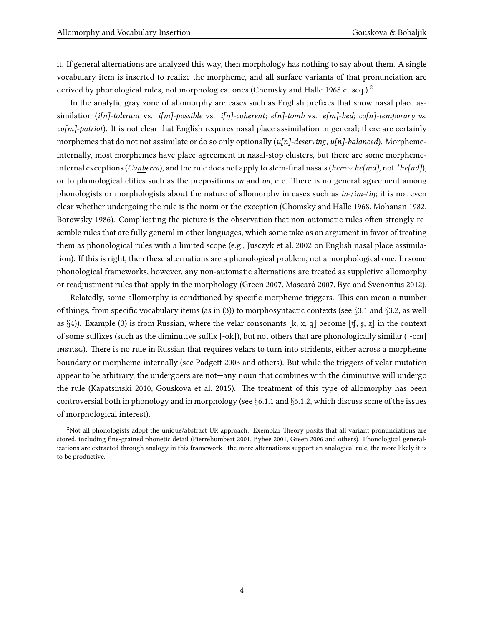it. If general alternations are analyzed this way, then morphology has nothing to say about them. A single vocabulary item is inserted to realize the morpheme, and all surface variants of that pronunciation are derivedby phonological rules, not morphological ones ([Chomsky and Halle](#page-28-0) [1968](#page-28-0) et seq.). $<sup>2</sup>$  $<sup>2</sup>$  $<sup>2</sup>$ </sup>

In the analytic gray zone of allomorphy are cases such as English prefixes that show nasal place assimilation (*i[n]-tolerant* vs. *i[m]-possible* vs. *i[ŋ]-coherent*; *e[n]-tomb* vs. *e[m]-bed; co[n]-temporary vs. co[m]-patriot*). It is not clear that English requires nasal place assimilation in general; there are certainly morphemes that do not not assimilate or do so only optionally (*u[n]-deserving, u[n]-balanced*). Morphemeinternally, most morphemes have place agreement in nasal-stop clusters, but there are some morphemeinternal exceptions (*Canberra*), and the rule does not apply to stem-final nasals (*hem∼ he[md]*, not *\*he[nd]*), or to phonological clitics such as the prepositions *in* and *on*, etc. There is no general agreement among phonologists or morphologists about the nature of allomorphy in cases such as *in*-/*im-*/*iŋ*; it is not even clear whether undergoing the rule is the norm or the exception [\(Chomsky and Halle](#page-28-0) [1968,](#page-28-0) [Mohanan](#page-31-2) [1982,](#page-31-2) [Borowsky](#page-28-2) [1986](#page-28-2)). Complicating the picture is the observation that non-automatic rules often strongly resemble rules that are fully general in other languages, which some take as an argument in favor of treating them as phonological rules with a limited scope (e.g., [Jusczyk et al.](#page-30-1) [2002](#page-30-1) on English nasal place assimilation). If this is right, then these alternations are a phonological problem, not a morphological one. In some phonological frameworks, however, any non-automatic alternations are treated as suppletive allomorphy or readjustment rules that apply in the morphology([Green](#page-29-2) [2007,](#page-29-2) [Mascaró](#page-30-2) [2007](#page-30-2), [Bye and Svenonius](#page-28-3) [2012](#page-28-3)).

Relatedly, some allomorphy is conditioned by specific morpheme triggers. This can mean a number of things, from specific vocabulary items (as in([3\)](#page-4-1)) to morphosyntactic contexts (see *§*[3.1](#page-4-2) and *§*[3.2](#page-7-1), as well as  $\S$ [4](#page-7-2))). Example [\(3\)](#page-4-1) is from Russian, where the velar consonants [k, x, g] become [t͡ʃ, ʂ, z] in the context of some suffixes (such as the diminutive suffix [-ok]), but not others that are phonologically similar ([-om] inst.sg). There is no rule in Russian that requires velars to turn into stridents, either across a morpheme boundary or morpheme-internally (see [Padgett](#page-31-3) [2003](#page-31-3) and others). But while the triggers of velar mutation appear to be arbitrary, the undergoers are not—any noun that combines with the diminutive will undergo the rule [\(Kapatsinski](#page-30-3) [2010](#page-30-3), [Gouskova et al.](#page-29-3) [2015\)](#page-29-3). The treatment of this type of allomorphy has been controversial both in phonology and in morphology (see *§*[6.1.1](#page-19-1) and *§*[6.1.2](#page-20-0), which discuss some of the issues of morphological interest).

<span id="page-3-0"></span> $2^2$ Not all phonologists adopt the unique/abstract UR approach. Exemplar Theory posits that all variant pronunciations are stored, including fine-grained phonetic detail([Pierrehumbert](#page-31-4) [2001,](#page-31-4) [Bybee](#page-28-4) [2001,](#page-28-4) [Green](#page-29-4) [2006](#page-29-4) and others). Phonological generalizations are extracted through analogy in this framework—the more alternations support an analogical rule, the more likely it is to be productive.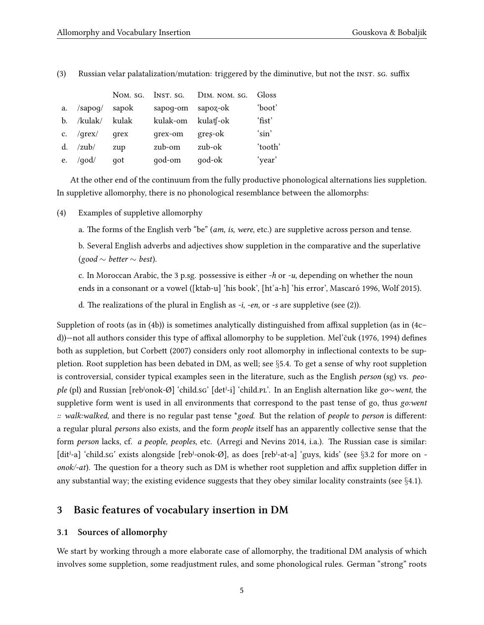|             |                   | NOM. SG. | INST. SG. | DIM. NOM. SG. | Gloss   |
|-------------|-------------------|----------|-----------|---------------|---------|
| a.          | /sapoq/           | sapok    | sapoq-om  | sapoz-ok      | 'boot'  |
| b.          | /kulak/           | kulak    | kulak-om  | kulatf-ok     | 'fist'  |
| $c_{\cdot}$ | $q$ rex $/$       | qrex     | qrex-om   | $gre's-ok$    | 'sin'   |
| d.          | $\ell$ zub $\ell$ | zup      | zub-om    | zub-ok        | 'tooth' |
| e.          | /god/             | got      | qod-om    | qod-ok        | 'year'  |

<span id="page-4-1"></span>(3) Russian velar palatalization/mutation: triggered by the diminutive, but not the inst. sg. suffix

At the other end of the continuum from the fully productive phonological alternations lies suppletion. In suppletive allomorphy, there is no phonological resemblance between the allomorphs:

<span id="page-4-3"></span>(4) Examples of suppletive allomorphy

a. The forms of the English verb "be" (*am, is, were*, etc.) are suppletive across person and tense.

b. Several English adverbs and adjectives show suppletion in the comparative and the superlative (*good ∼ better ∼ best*).

c. In Moroccan Arabic, the 3 p.sg. possessive is either *-h* or *-u*, depending on whether the noun ends in a consonant or a vowel ([ktab-u] 'his book', [htˁa-h] 'his error', [Mascaró](#page-30-4) [1996](#page-30-4), [Wolf](#page-33-0) [2015\)](#page-33-0).

d. The realizations of the plural in English as *-i*, *-en*, or *-s* are suppletive (see([2\)](#page-1-2)).

Suppletion of roots (as in [\(4](#page-4-3)b)) is sometimes analytically distinguished from affixal suppletion (as in [\(4](#page-4-3)c– d))—not all authors consider this type of affixal allomorphy to be suppletion. [Mel'čuk](#page-31-5) ([1976](#page-31-5), [1994\)](#page-31-6) defines both as suppletion, but [Corbett](#page-29-5) [\(2007](#page-29-5)) considers only root allomorphy in inflectional contexts to be suppletion. Root suppletion has been debated in DM, as well; see *§*[5.4](#page-17-0). To get a sense of why root suppletion is controversial, consider typical examples seen in the literature, such as the English *person* (sg) vs. *people* (pl) and Russian [rebʲonok-Ø] 'child.sg' [detʲ-i] 'child.pl'. In an English alternation like *go∼went*, the suppletive form went is used in all environments that correspond to the past tense of go, thus *go:went :: walk:walked*, and there is no regular past tense \**goed*. But the relation of *people* to *person* is different: a regular plural *persons* also exists, and the form *people* itself has an apparently collective sense that the form *person* lacks, cf. *a people, peoples*, etc.([Arregi and Nevins](#page-28-5) [2014](#page-28-5), i.a.). The Russian case is similar: [ditʲ-a] 'child.sg' exists alongside [rebʲ-onok-Ø], as does [rebʲ-at-a] 'guys, kids' (see *§*[3.2](#page-7-1) for more on  *onok/-at*). The question for a theory such as DM is whether root suppletion and affix suppletion differ in any substantial way; the existing evidence suggests that they obey similar locality constraints (see *§*[4.1](#page-7-0)).

### <span id="page-4-0"></span>**3 Basic features of vocabulary insertion in DM**

#### <span id="page-4-2"></span>**3.1 Sources of allomorphy**

We start by working through a more elaborate case of allomorphy, the traditional DM analysis of which involves some suppletion, some readjustment rules, and some phonological rules. German "strong" roots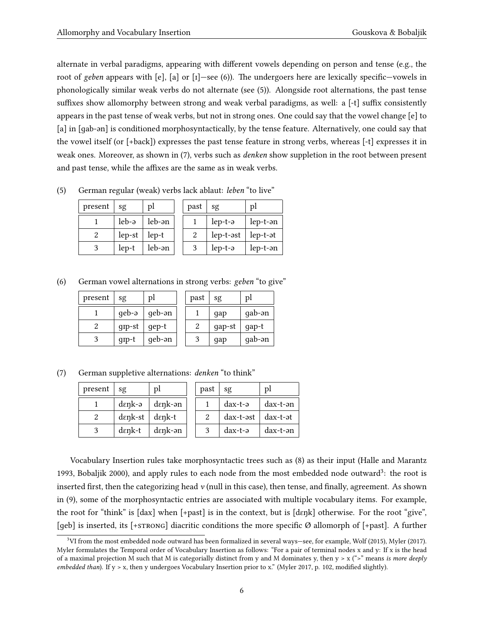alternate in verbal paradigms, appearing with different vowels depending on person and tense (e.g., the root of *geben* appears with [e], [a] or [ɪ]—see [\(6\)](#page-5-0)). The undergoers here are lexically specific—vowels in phonologically similar weak verbs do not alternate (see([5\)](#page-5-1)). Alongside root alternations, the past tense suffixes show allomorphy between strong and weak verbal paradigms, as well: a [-t] suffix consistently appears in the past tense of weak verbs, but not in strong ones. One could say that the vowel change [e] to [a] in [ɡab-ən] is conditioned morphosyntactically, by the tense feature. Alternatively, one could say that the vowel itself (or [+back]) expresses the past tense feature in strong verbs, whereas [-t] expresses it in weak ones. Moreover, as shown in([7\)](#page-5-2), verbs such as *denken* show suppletion in the root between present and past tense, while the affixes are the same as in weak verbs.

| present | sg      | pl     | past | sg          | pl        |
|---------|---------|--------|------|-------------|-----------|
|         | $leb-a$ | leb-ən |      | $lep-t-a$   | lep-t-an  |
|         | lep-st  | lep-t  |      | $lep-t-est$ | $lep-t-5$ |
| 3       | $lep-t$ | leb-ən | 3    | $lep-t-a$   | lep-t-an  |

<span id="page-5-1"></span>(5) German regular (weak) verbs lack ablaut: *leben* "to live"

<span id="page-5-0"></span>(6) German vowel alternations in strong verbs: *geben* "to give"

| present | sg     | pl     | past | sg     | ηI     |
|---------|--------|--------|------|--------|--------|
|         | geb-ə  | geb-ən |      | gap    | gab-ən |
|         | gip-st | gep-t  | 2    | gap-st | gap-t  |
|         | gip-t  | geb-ən | 3    | gap    | gab-ən |

<span id="page-5-2"></span>(7) German suppletive alternations: *denken* "to think"

| $present \mid$ | sg                        | pl      | past | sg                     | pl       |
|----------------|---------------------------|---------|------|------------------------|----------|
|                | $d \epsilon$ nk-ə         | dɛŋk-ən |      | $dax-t-a$              | dax-t-ən |
| 2              | $d$ enk-st $\vert$ denk-t |         |      | $dax-t-est$ $dax-t-at$ |          |
|                | denk-t                    | dɛŋk-ən | 3    | $dax-t-a$              | dax-t-ən |

Vocabulary Insertion rules take morphosyntactic trees such as([8\)](#page-6-0) as their input [\(Halle and Marantz](#page-29-0) [1993](#page-29-0), [Bobaljik](#page-28-1) [2000](#page-28-1)), and apply rules to each node from the most embedded node outward<sup>[3](#page-5-3)</sup>: the root is inserted first, then the categorizing head *v* (null in this case), then tense, and finally, agreement. As shown in [\(9](#page-6-1)), some of the morphosyntactic entries are associated with multiple vocabulary items. For example, the root for "think" is [dax] when [+past] is in the context, but is [dɛŋk] otherwise. For the root "give", [geb] is inserted, its [+STRONG] diacritic conditions the more specific  $\emptyset$  allomorph of [+past]. A further

<span id="page-5-3"></span> $3$ VI from the most embedded node outward has been formalized in several ways-see, for example, [Wolf](#page-33-0) ([2015](#page-33-0)), [Myler](#page-31-1) ([2017](#page-31-1)). Myler formulates the Temporal order of Vocabulary Insertion as follows: "For a pair of terminal nodes x and y: If x is the head of a maximal projection M such that M is categorially distinct from y and M dominates y, then y > x (">" means *is more deeply embedded than*). If y > x, then y undergoes Vocabulary Insertion prior to x." (Myler [2017](#page-31-1), p. 102, modified slightly).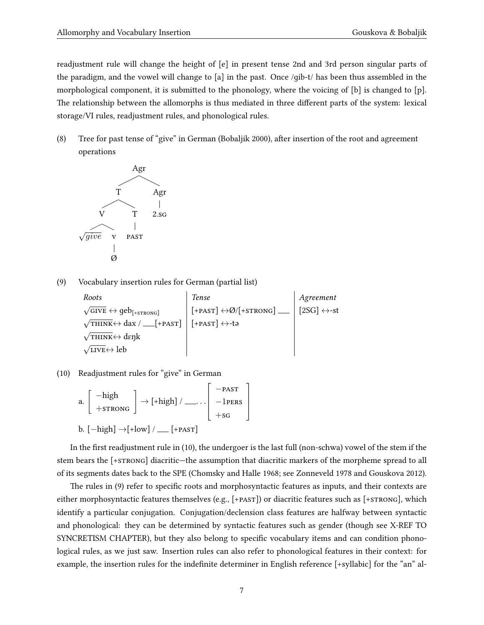readjustment rule will change the height of [e] in present tense 2nd and 3rd person singular parts of the paradigm, and the vowel will change to [a] in the past. Once /ɡib-t/ has been thus assembled in the morphological component, it is submitted to the phonology, where the voicing of [b] is changed to [p]. The relationship between the allomorphs is thus mediated in three different parts of the system: lexical storage/VI rules, readjustment rules, and phonological rules.

<span id="page-6-0"></span>(8) Tree for past tense of "give" in German [\(Bobaljik](#page-28-1) [2000\)](#page-28-1), after insertion of the root and agreement operations



<span id="page-6-1"></span>(9) Vocabulary insertion rules for German (partial list)

*Roots Tense Agreement*  $\sqrt{\text{GIVE}} \leftrightarrow \text{geb}_{[+s\text{TRONG}]}$  [+PAST]  $\leftrightarrow \varnothing/[+s\text{TRONG}]$  [2SG]  $\leftrightarrow$ -st *√* think*↔* dax / [+past] [+past] *↔*-tə  $\sqrt{\text{think}}$ ⇔ dɛŋk *√* live*↔* leb

<span id="page-6-2"></span>(10) Readjustment rules for "give" in German

a. 
$$
\begin{bmatrix} -\text{high} \\ +\text{strong} \end{bmatrix}
$$
  $\rightarrow$   $\begin{bmatrix} +\text{high} \end{bmatrix}$  /  $\dots$   $\begin{bmatrix} -\text{PAST} \\ -\text{1PERS} \\ +\text{SG} \end{bmatrix}$   
b.  $\begin{bmatrix} -\text{high} \end{bmatrix}$   $\rightarrow$   $\begin{bmatrix} +\text{low} \end{bmatrix}$  /  $\dots$   $\begin{bmatrix} +\text{PAST} \\ +\text{SG} \end{bmatrix}$ 

In the first readjustment rule in [\(10](#page-6-2)), the undergoer is the last full (non-schwa) vowel of the stem if the stem bears the [+strong] diacritic—the assumption that diacritic markers of the morpheme spread to all of its segments dates back to the SPE [\(Chomsky and Halle](#page-28-0) [1968;](#page-28-0) see [Zonneveld](#page-33-1) [1978](#page-33-1) and [Gouskova](#page-29-6) [2012](#page-29-6)).

The rules in([9\)](#page-6-1) refer to specific roots and morphosyntactic features as inputs, and their contexts are either morphosyntactic features themselves (e.g., [+past]) or diacritic features such as [+strong], which identify a particular conjugation. Conjugation/declension class features are halfway between syntactic and phonological: they can be determined by syntactic features such as gender (though see X-REF TO SYNCRETISM CHAPTER), but they also belong to specific vocabulary items and can condition phonological rules, as we just saw. Insertion rules can also refer to phonological features in their context: for example, the insertion rules for the indefinite determiner in English reference [+syllabic] for the "an" al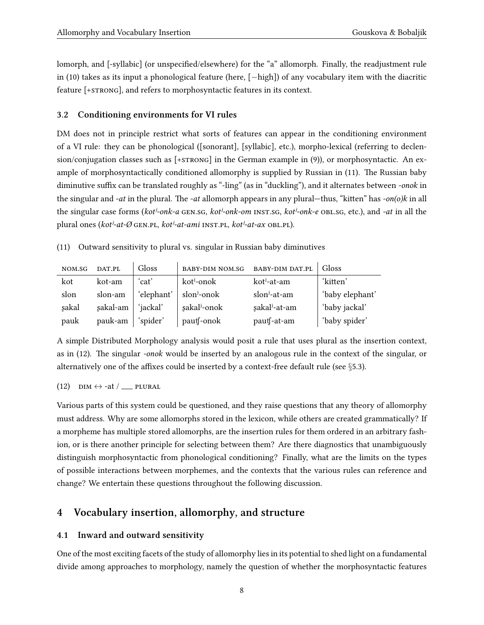lomorph, and [-syllabic] (or unspecified/elsewhere) for the "a" allomorph. Finally, the readjustment rule in [\(10](#page-6-2)) takes as its input a phonological feature (here, [*−*high]) of any vocabulary item with the diacritic feature [+strong], and refers to morphosyntactic features in its context.

## <span id="page-7-1"></span>**3.2 Conditioning environments for VI rules**

DM does not in principle restrict what sorts of features can appear in the conditioning environment of a VI rule: they can be phonological ([sonorant], [syllabic], etc.), morpho-lexical (referring to declension/conjugation classes such as  $[+s$ TRONG] in the German example in [\(9](#page-6-1))), or morphosyntactic. An example of morphosyntactically conditioned allomorphy is supplied by Russian in([11\)](#page-7-3). The Russian baby diminutive suffix can be translated roughly as "-ling" (as in "duckling"), and it alternates between *-onok* in the singular and *-at* in the plural. The *-at* allomorph appears in any plural—thus, "kitten" has *-on(o)k* in all the singular case forms (*kotʲ-onk-a* gen.sg, *kotʲ-onk-om* inst.sg, *kotʲ-onk-e* obl.sg, etc.), and *-at* in all the plural ones (*kotʲ-at-Ø* gen.pl, *kotʲ-at-ami* inst.pl, *kotʲ-at-ax* obl.pl).

<span id="page-7-3"></span>(11) Outward sensitivity to plural vs. singular in Russian baby diminutives

| NOM.SG | DAT.PL   | Gloss      | <b>BABY-DIM NOM.SG</b>   | <b>BABY-DIM DAT.PL</b>    | Gloss           |
|--------|----------|------------|--------------------------|---------------------------|-----------------|
| kot    | kot-am   | 'cat'      | kot <sup>j</sup> -onok   | kot <sup>j</sup> -at-am   | 'kitten'        |
| slon   | slon-am  | 'elephant' | slon <sup>j</sup> -onok  | slon <sup>j</sup> -at-am  | 'baby elephant' |
| sakal  | sakal-am | 'jackal'   | sakal <sup>j</sup> -onok | sakal <sup>j</sup> -at-am | 'baby jackal'   |
| pauk   | pauk-am  | spider'    | pautf-onok               | pautf-at-am               | 'baby spider'   |

A simple Distributed Morphology analysis would posit a rule that uses plural as the insertion context, as in [\(12](#page-7-4)). The singular *-onok* would be inserted by an analogous rule in the context of the singular, or alternatively one of the affixes could be inserted by a context-free default rule (see *§*[5.3](#page-15-0)).

<span id="page-7-4"></span>(12) 
$$
DIM \leftrightarrow -at / \underline{\hspace{2cm}}
$$
 **plural**

Various parts of this system could be questioned, and they raise questions that any theory of allomorphy must address. Why are some allomorphs stored in the lexicon, while others are created grammatically? If a morpheme has multiple stored allomorphs, are the insertion rules for them ordered in an arbitrary fashion, or is there another principle for selecting between them? Are there diagnostics that unambiguously distinguish morphosyntactic from phonological conditioning? Finally, what are the limits on the types of possible interactions between morphemes, and the contexts that the various rules can reference and change? We entertain these questions throughout the following discussion.

# <span id="page-7-2"></span>**4 Vocabulary insertion, allomorphy, and structure**

### <span id="page-7-0"></span>**4.1 Inward and outward sensitivity**

One of the most exciting facets of the study of allomorphy lies in its potential to shed light on a fundamental divide among approaches to morphology, namely the question of whether the morphosyntactic features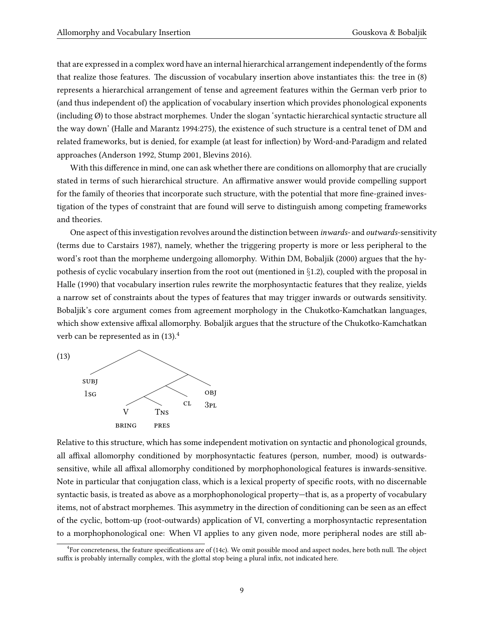that are expressed in a complex word have an internal hierarchical arrangement independently of the forms that realize those features. The discussion of vocabulary insertion above instantiates this: the tree in([8\)](#page-6-0) represents a hierarchical arrangement of tense and agreement features within the German verb prior to (and thus independent of) the application of vocabulary insertion which provides phonological exponents (including Ø) to those abstract morphemes. Under the slogan 'syntactic hierarchical syntactic structure all the way down' [\(Halle and Marantz](#page-29-7) [1994](#page-29-7):275), the existence of such structure is a central tenet of DM and related frameworks, but is denied, for example (at least for inflection) by Word-and-Paradigm and related approaches [\(Anderson](#page-28-6) [1992](#page-28-6), [Stump](#page-32-1) [2001](#page-32-1), [Blevins](#page-28-7) [2016\)](#page-28-7).

With this difference in mind, one can ask whether there are conditions on allomorphy that are crucially stated in terms of such hierarchical structure. An affirmative answer would provide compelling support for the family of theories that incorporate such structure, with the potential that more fine-grained investigation of the types of constraint that are found will serve to distinguish among competing frameworks and theories.

One aspect of this investigation revolves around the distinction between *inwards-* and *outwards*-sensitivity (terms due to [Carstairs](#page-28-8) [1987](#page-28-8)), namely, whether the triggering property is more or less peripheral to the word's root than the morpheme undergoing allomorphy. Within DM, [Bobaljik](#page-28-1) [\(2000\)](#page-28-1) argues that the hypothesis of cyclic vocabulary insertion from the root out (mentioned in *§*[1.2](#page-1-3)), coupled with the proposal in [Halle](#page-29-1) ([1990\)](#page-29-1) that vocabulary insertion rules rewrite the morphosyntactic features that they realize, yields a narrow set of constraints about the types of features that may trigger inwards or outwards sensitivity. Bobaljik's core argument comes from agreement morphology in the Chukotko-Kamchatkan languages, which show extensive affixal allomorphy. Bobaljik argues that the structure of the Chukotko-Kamchatkan verbcan be represented as in  $(13).4$  $(13).4$  $(13).4$  $(13).4$ 

<span id="page-8-0"></span>

Relative to this structure, which has some independent motivation on syntactic and phonological grounds, all affixal allomorphy conditioned by morphosyntactic features (person, number, mood) is outwardssensitive, while all affixal allomorphy conditioned by morphophonological features is inwards-sensitive. Note in particular that conjugation class, which is a lexical property of specific roots, with no discernable syntactic basis, is treated as above as a morphophonological property—that is, as a property of vocabulary items, not of abstract morphemes. This asymmetry in the direction of conditioning can be seen as an effect of the cyclic, bottom-up (root-outwards) application of VI, converting a morphosyntactic representation to a morphophonological one: When VI applies to any given node, more peripheral nodes are still ab-

<span id="page-8-1"></span><sup>4</sup> For concreteness, the feature specifications are of([14c](#page-9-0)). We omit possible mood and aspect nodes, here both null. The object suffix is probably internally complex, with the glottal stop being a plural infix, not indicated here.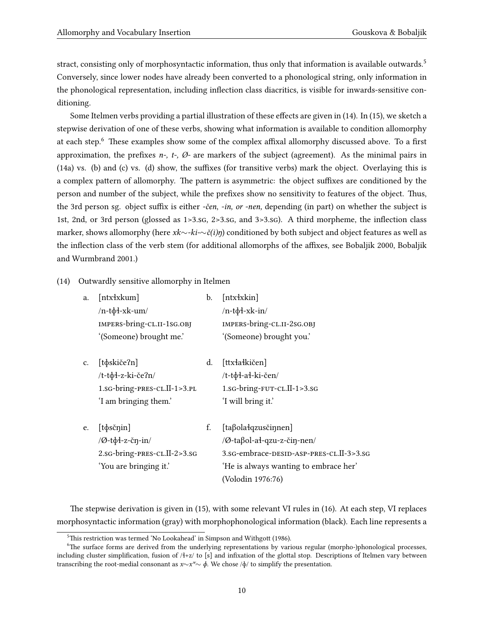stract, consisting only of morphosyntactic information, thus only that information is available outwards.[5](#page-9-1) Conversely, since lower nodes have already been converted to a phonological string, only information in the phonological representation, including inflection class diacritics, is visible for inwards-sensitive conditioning.

Some Itelmen verbs providing a partial illustration of these effects are given in [\(14](#page-9-0)). In([15](#page-10-0)), we sketch a stepwise derivation of one of these verbs, showing what information is available to condition allomorphy at each step.[6](#page-9-2) These examples show some of the complex affixal allomorphy discussed above. To a first approximation, the prefixes *n-, t-, Ø-* are markers of the subject (agreement). As the minimal pairs in [\(14](#page-9-0)a) vs. (b) and (c) vs. (d) show, the suffixes (for transitive verbs) mark the object. Overlaying this is a complex pattern of allomorphy. The pattern is asymmetric: the object suffixes are conditioned by the person and number of the subject, while the prefixes show no sensitivity to features of the object. Thus, the 3rd person sg. object suffix is either *-čen*, *-in, or -nen,* depending (in part) on whether the subject is 1st, 2nd, or 3rd person (glossed as 1>3.sg, 2>3.sg, and 3>3.sg). A third morpheme, the inflection class marker, shows allomorphy (here *xk∼-ki-∼č(i)ŋ*) conditioned by both subject and object features as well as the inflection class of the verb stem (for additional allomorphs of the affixes, see [Bobaljik](#page-28-1) [2000,](#page-28-1) [Bobaljik](#page-28-9) [and Wurmbrand](#page-28-9) [2001.](#page-28-9))

#### <span id="page-9-0"></span>(14) Outwardly sensitive allomorphy in Itelmen

| a. | [ntxłxkum]                                  | b. | [ntx\tkin]                                  |
|----|---------------------------------------------|----|---------------------------------------------|
|    | $/n$ -t $\phi$ ł-xk-um/                     |    | $/n-t\phi$ ł-xk-in/                         |
|    | IMPERS-bring-CL.II-1sG.OBJ                  |    | IMPERS-bring-CL.II-2SG.OBJ                  |
|    | '(Someone) brought me.'                     |    | '(Someone) brought you.'                    |
| c. | [t $\phi$ skiče?n]                          | d. | [ttxłałkičen]                               |
|    | /t-t $\phi$ ł-z-ki-če $2n/$                 |    | /t-tφł-ał-ki-čen/                           |
|    | 1.sG-bring-PRES-CL.II-1>3.PL                |    | 1.sG-bring-FUT-CL.II-1>3.sG                 |
|    | 'I am bringing them.'                       |    | 'I will bring it.'                          |
| e. | $[t\phi s\check{c}\eta in]$                 | f. | [taßolałqzusčinnen]                         |
|    | $\sqrt{Q}$ -t $\phi$ <sup>1</sup> -z-čn-in/ |    | $\sqrt{Q}$ -ta $\beta$ ol-ał-qzu-z-čin-nen/ |
|    | 2.sG-bring-PRES-CL.II-2>3.sG                |    | 3.sg-embrace-desid-asp-pres-cl.II-3>3.sg    |
|    | 'You are bringing it.'                      |    | 'He is always wanting to embrace her'       |
|    |                                             |    | (Volodin 1976:76)                           |

The stepwise derivation is given in [\(15](#page-10-0)), with some relevant VI rules in [\(16](#page-10-1)). At each step, VI replaces morphosyntactic information (gray) with morphophonological information (black). Each line represents a

<span id="page-9-2"></span><span id="page-9-1"></span> $5$ This restriction was termed 'No Lookahead' in [Simpson and Withgott](#page-32-3) [\(1986](#page-32-3)).

<sup>&</sup>lt;sup>6</sup>The surface forms are derived from the underlying representations by various regular (morpho-)phonological processes, including cluster simplification, fusion of /ɬ+z/ to [s] and infixation of the glottal stop. Descriptions of Itelmen vary between transcribing the root-medial consonant as *x∼xʷ∼ ɸ.* We chose /ɸ/ to simplify the presentation.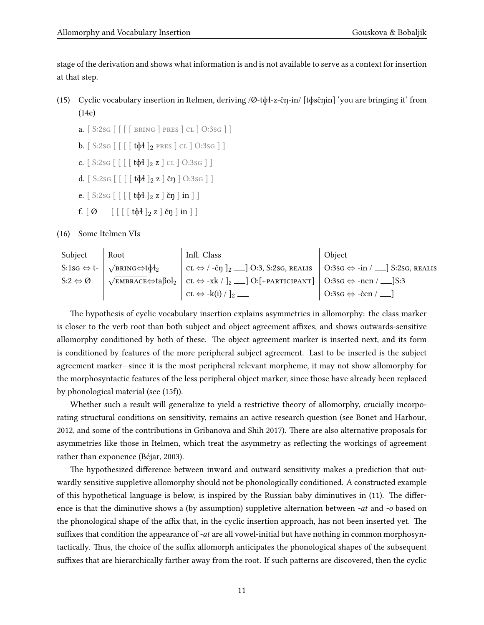stage of the derivation and shows what information is and is not available to serve as a context for insertion at that step.

- <span id="page-10-0"></span>(15) Cyclic vocabulary insertion in Itelmen, deriving /Ø-tɸɬ-z-čŋ-in/ [tɸsčŋin] 'you are bringing it' from ([14e](#page-9-0))
	- **a.**  $[ S:2SG \mid \lceil \lceil \lceil \text{BRING} \rceil \rceil RES \mid CL \mid 0:3SG \mid ]$
	- **b.**  $[$  S:2sg  $[$   $[$   $[$   $]$   $[$   $]$   $[$   $]$   $\frac{1}{2}$   $]$   $RES$   $]$   $[$   $]$   $[$   $]$   $[$   $]$   $[$   $]$   $[$   $]$   $[$   $]$   $[$   $]$   $[$   $]$   $[$   $]$   $[$   $]$   $[$   $]$   $[$   $]$   $[$   $]$   $[$   $]$   $[$   $]$   $[$   $]$   $[$   $]$   $[$   $]$   $[$
	- c.  $[ S:2sg [[T*4]2 z] cL] 0:3sg ] ]$
	- d.  $[ S:2sg [[[[t\phi1]_2 z] \text{čn} ] 0:3sg ] ]$
	- e.  $[ S:2sG [ [[ [ t\phi1]_2 z ] \text{čn} ] in ] ]$
	- f.  $\begin{bmatrix} \emptyset & \begin{bmatrix} \begin{bmatrix} \begin{bmatrix} \end{bmatrix} & \begin{bmatrix} \end{bmatrix} & \begin{bmatrix} \end{bmatrix} \\ \end{bmatrix} & \begin{bmatrix} 2 \\ 2 \end{bmatrix} \end{bmatrix} \end{bmatrix} \begin{bmatrix} \begin{bmatrix} \end{bmatrix} \\ \end{bmatrix} \end{bmatrix} \end{bmatrix}$

<span id="page-10-1"></span>(16) Some Itelmen VIs

| Subject                         | Root                                                                    | Infl. Class                                                                                                                                                                                               | Object                                       |
|---------------------------------|-------------------------------------------------------------------------|-----------------------------------------------------------------------------------------------------------------------------------------------------------------------------------------------------------|----------------------------------------------|
|                                 | $S: 1$ sG $\Leftrightarrow t$ - $\sqrt{BRING} \Leftrightarrow t \Phi_2$ |                                                                                                                                                                                                           |                                              |
| $S:2 \Leftrightarrow \emptyset$ |                                                                         | $\sqrt{\text{EMBRACE}} \Leftrightarrow \text{ta}\beta \text{ol}_2 \mid \text{CL} \Leftrightarrow \text{-xk} / \left[ \frac{1}{2} \right]$ O: [+PARTICIPANT] $\mid$ O:3sg $\Leftrightarrow$ -nen / ___]S:3 |                                              |
|                                 |                                                                         | $_{+}$ cl $\Leftrightarrow$ -k(i) / ] <sub>2</sub> ___                                                                                                                                                    | $\vert$ O:3sg $\Leftrightarrow$ -čen / ____] |

The hypothesis of cyclic vocabulary insertion explains asymmetries in allomorphy: the class marker is closer to the verb root than both subject and object agreement affixes, and shows outwards-sensitive allomorphy conditioned by both of these. The object agreement marker is inserted next, and its form is conditioned by features of the more peripheral subject agreement. Last to be inserted is the subject agreement marker—since it is the most peripheral relevant morpheme, it may not show allomorphy for the morphosyntactic features of the less peripheral object marker, since those have already been replaced by phonological material (see([15](#page-10-0)f)).

Whether such a result will generalize to yield a restrictive theory of allomorphy, crucially incorporating structural conditions on sensitivity, remains an active research question (see [Bonet and Harbour,](#page-28-10) [2012](#page-28-10), and some of the contributions in [Gribanova and Shih](#page-29-8) [2017\)](#page-29-8). There are also alternative proposals for asymmetries like those in Itelmen, which treat the asymmetry as reflecting the workings of agreement rather than exponence([Béjar,](#page-28-11) [2003](#page-28-11)).

The hypothesized difference between inward and outward sensitivity makes a prediction that outwardly sensitive suppletive allomorphy should not be phonologically conditioned. A constructed example of this hypothetical language is below, is inspired by the Russian baby diminutives in [\(11](#page-7-3)). The difference is that the diminutive shows a (by assumption) suppletive alternation between *-at* and *-o* based on the phonological shape of the affix that, in the cyclic insertion approach, has not been inserted yet. The suffixes that condition the appearance of *-at* are all vowel-initial but have nothing in common morphosyntactically. Thus, the choice of the suffix allomorph anticipates the phonological shapes of the subsequent suffixes that are hierarchically farther away from the root. If such patterns are discovered, then the cyclic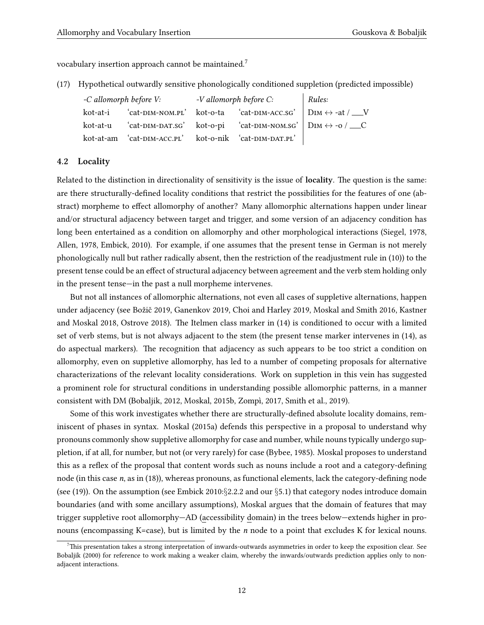vocabulary insertion approach cannot be maintained.[7](#page-11-1)

(17) Hypothetical outwardly sensitive phonologically conditioned suppletion (predicted impossible)

| -C allomorph before V: | -V allomorph before C:                                                                           | $\vert$ Rules: |
|------------------------|--------------------------------------------------------------------------------------------------|----------------|
|                        | kot-at-i 'cat-DIM-NOM.PL' kot-o-ta 'cat-DIM-ACC.SG' $ $ DIM $\leftrightarrow$ -at / __V          |                |
|                        | kot-at-u 'cat-DIM-DAT.SG' kot-o-pi 'cat-DIM-NOM.SG' $\vert$ DIM $\leftrightarrow$ -o $\vert$ __C |                |
|                        | kot-at-am 'cat-DIM-ACC.PL' kot-o-nik 'cat-DIM-DAT.PL'                                            |                |

#### <span id="page-11-0"></span>**4.2 Locality**

Related to the distinction in directionality of sensitivity is the issue of **locality**. The question is the same: are there structurally-defined locality conditions that restrict the possibilities for the features of one (abstract) morpheme to effect allomorphy of another? Many allomorphic alternations happen under linear and/or structural adjacency between target and trigger, and some version of an adjacency condition has long been entertained as a condition on allomorphy and other morphological interactions [\(Siegel,](#page-32-4) [1978,](#page-32-4) [Allen](#page-28-12), [1978](#page-28-12), [Embick,](#page-29-9) [2010\)](#page-29-9). For example, if one assumes that the present tense in German is not merely phonologically null but rather radically absent, then the restriction of the readjustment rule in [\(10](#page-6-2))) to the present tense could be an effect of structural adjacency between agreement and the verb stem holding only in the present tense—in the past a null morpheme intervenes.

But not all instances of allomorphic alternations, not even all cases of suppletive alternations, happen under adjacency (see [Božič](#page-28-13) [2019](#page-28-13), [Ganenkov](#page-29-10) [2019](#page-29-10), [Choi and Harley](#page-28-14) [2019](#page-28-14), [Moskal and Smith](#page-31-7) [2016](#page-31-7), [Kastner](#page-30-5) [and Moskal](#page-30-5) [2018](#page-30-5), [Ostrove](#page-31-8) [2018\)](#page-31-8). The Itelmen class marker in([14\)](#page-9-0) is conditioned to occur with a limited set of verb stems, but is not always adjacent to the stem (the present tense marker intervenes in([14\)](#page-9-0), as do aspectual markers). The recognition that adjacency as such appears to be too strict a condition on allomorphy, even on suppletive allomorphy, has led to a number of competing proposals for alternative characterizations of the relevant locality considerations. Work on suppletion in this vein has suggested a prominent role for structural conditions in understanding possible allomorphic patterns, in a manner consistent with DM([Bobaljik,](#page-28-15) [2012,](#page-28-15) [Moskal](#page-31-9), [2015b](#page-31-9), [Zompì,](#page-33-2) [2017](#page-33-2), [Smith et al.](#page-32-5), [2019\)](#page-32-5).

Some of this work investigates whether there are structurally-defined absolute locality domains, reminiscent of phases in syntax. [Moskal](#page-31-10) [\(2015a\)](#page-31-10) defends this perspective in a proposal to understand why pronouns commonly show suppletive allomorphy for case and number, while nouns typically undergo suppletion, if at all, for number, but not (or very rarely) for case [\(Bybee](#page-28-16), [1985\)](#page-28-16). Moskal proposes to understand this as a reflex of the proposal that content words such as nouns include a root and a category-defining node (in this case *n*, as in [\(18](#page-12-1))), whereas pronouns, as functional elements, lack the category-defining node (see [\(19](#page-12-2))). On the assumption (see [Embick](#page-29-9) [2010:](#page-29-9)*§*2.2.2 and our *§*[5.1\)](#page-13-0) that category nodes introduce domain boundaries (and with some ancillary assumptions), Moskal argues that the domain of features that may trigger suppletive root allomorphy—AD (accessibility domain) in the trees below—extends higher in pronouns (encompassing K=case), but is limited by the *n* node to a point that excludes K for lexical nouns.

<span id="page-11-1"></span> $^7$ This presentation takes a strong interpretation of inwards-outwards asymmetries in order to keep the exposition clear. See [Bobaljik](#page-28-1) ([2000](#page-28-1)) for reference to work making a weaker claim, whereby the inwards/outwards prediction applies only to nonadjacent interactions.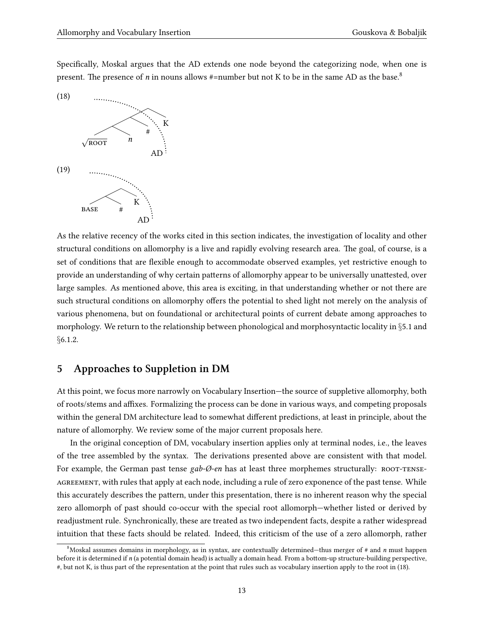Specifically, Moskal argues that the AD extends one node beyond the categorizing node, when one is present. The presence of *n* in nouns allows #=number but not K to be in the same AD as the base.[8](#page-12-3)

<span id="page-12-1"></span>

<span id="page-12-2"></span>As the relative recency of the works cited in this section indicates, the investigation of locality and other structural conditions on allomorphy is a live and rapidly evolving research area. The goal, of course, is a set of conditions that are flexible enough to accommodate observed examples, yet restrictive enough to provide an understanding of why certain patterns of allomorphy appear to be universally unattested, over large samples. As mentioned above, this area is exciting, in that understanding whether or not there are such structural conditions on allomorphy offers the potential to shed light not merely on the analysis of various phenomena, but on foundational or architectural points of current debate among approaches to morphology. We return to the relationship between phonological and morphosyntactic locality in *§*[5.1](#page-13-0) and *§*[6.1.2.](#page-20-0)

## <span id="page-12-0"></span>**5 Approaches to Suppletion in DM**

At this point, we focus more narrowly on Vocabulary Insertion—the source of suppletive allomorphy, both of roots/stems and affixes. Formalizing the process can be done in various ways, and competing proposals within the general DM architecture lead to somewhat different predictions, at least in principle, about the nature of allomorphy. We review some of the major current proposals here.

In the original conception of DM, vocabulary insertion applies only at terminal nodes, i.e., the leaves of the tree assembled by the syntax. The derivations presented above are consistent with that model. For example, the German past tense *gab-Ø-en* has at least three morphemes structurally: ROOT-TENSEagreement, with rules that apply at each node, including a rule of zero exponence of the past tense. While this accurately describes the pattern, under this presentation, there is no inherent reason why the special zero allomorph of past should co-occur with the special root allomorph—whether listed or derived by readjustment rule. Synchronically, these are treated as two independent facts, despite a rather widespread intuition that these facts should be related. Indeed, this criticism of the use of a zero allomorph, rather

<span id="page-12-3"></span><sup>8</sup>Moskal assumes domains in morphology, as in syntax, are contextually determined—thus merger of # and *n* must happen before it is determined if *n* (a potential domain head) is actually a domain head. From a bottom-up structure-building perspective, #, but not K, is thus part of the representation at the point that rules such as vocabulary insertion apply to the root in([18](#page-12-1)).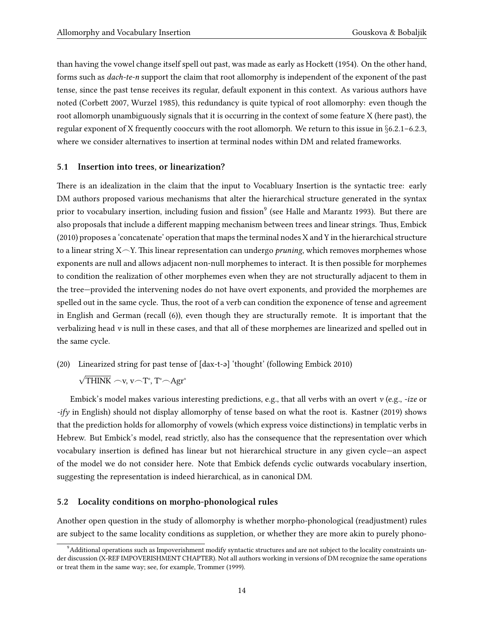than having the vowel change itself spell out past, was made as early as [Hockett](#page-30-6) ([1954\)](#page-30-6). On the other hand, forms such as *dach-te-n* support the claim that root allomorphy is independent of the exponent of the past tense, since the past tense receives its regular, default exponent in this context. As various authors have noted([Corbett](#page-29-5) [2007,](#page-29-5) [Wurzel](#page-33-3) [1985\)](#page-33-3), this redundancy is quite typical of root allomorphy: even though the root allomorph unambiguously signals that it is occurring in the context of some feature X (here past), the regular exponent of X frequently cooccurs with the root allomorph. We return to this issue in *§*[6.2.1–](#page-22-0)[6.2.3,](#page-25-0) where we consider alternatives to insertion at terminal nodes within DM and related frameworks.

### <span id="page-13-0"></span>**5.1 Insertion into trees, or linearization?**

There is an idealization in the claim that the input to Vocabluary Insertion is the syntactic tree: early DM authors proposed various mechanisms that alter the hierarchical structure generated in the syntax prior to vocabulary insertion, including fusion and fission<sup>[9](#page-13-1)</sup> (see [Halle and Marantz](#page-29-0) [1993\)](#page-29-0). But there are also proposals that include a different mapping mechanism between trees and linear strings. Thus, [Embick](#page-29-9) [\(2010\)](#page-29-9) proposes a 'concatenate' operation that maps the terminal nodes X and Y in the hierarchical structure to a linear string X*⌢*Y. This linear representation can undergo *pruning*, which removes morphemes whose exponents are null and allows adjacent non-null morphemes to interact. It is then possible for morphemes to condition the realization of other morphemes even when they are not structurally adjacent to them in the tree—provided the intervening nodes do not have overt exponents, and provided the morphemes are spelled out in the same cycle. Thus, the root of a verb can condition the exponence of tense and agreement in English and German (recall [\(6](#page-5-0))), even though they are structurally remote. It is important that the verbalizing head *v* is null in these cases, and that all of these morphemes are linearized and spelled out in the same cycle.

(20) Linearized string for past tense of [dax-t-ə] 'thought' (following [Embick](#page-29-9) [2010](#page-29-9))

*√* THINK *⌢*v, v*⌢*T°, T°*⌢*Agr°

Embick's model makes various interesting predictions, e.g., that all verbs with an overt *v* (e.g., *-ize* or *-ify* in English) should not display allomorphy of tense based on what the root is. [Kastner](#page-30-7) [\(2019\)](#page-30-7) shows that the prediction holds for allomorphy of vowels (which express voice distinctions) in templatic verbs in Hebrew. But Embick's model, read strictly, also has the consequence that the representation over which vocabulary insertion is defined has linear but not hierarchical structure in any given cycle—an aspect of the model we do not consider here. Note that Embick defends cyclic outwards vocabulary insertion, suggesting the representation is indeed hierarchical, as in canonical DM.

### **5.2 Locality conditions on morpho-phonological rules**

Another open question in the study of allomorphy is whether morpho-phonological (readjustment) rules are subject to the same locality conditions as suppletion, or whether they are more akin to purely phono-

<span id="page-13-1"></span><sup>9</sup>Additional operations such as Impoverishment modify syntactic structures and are not subject to the locality constraints under discussion (X-REF IMPOVERISHMENT CHAPTER). Not all authors working in versions of DM recognize the same operations or treat them in the same way; see, for example, [Trommer](#page-32-6) [\(1999\)](#page-32-6).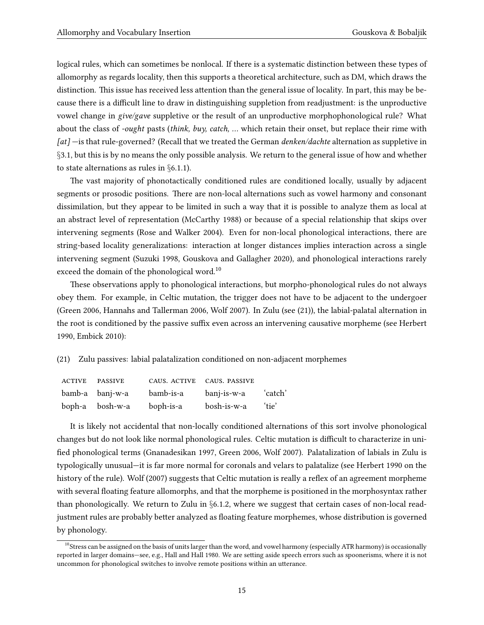logical rules, which can sometimes be nonlocal. If there is a systematic distinction between these types of allomorphy as regards locality, then this supports a theoretical architecture, such as DM, which draws the distinction. This issue has received less attention than the general issue of locality. In part, this may be because there is a difficult line to draw in distinguishing suppletion from readjustment: is the unproductive vowel change in *give/gave* suppletive or the result of an unproductive morphophonological rule? What about the class of *-ought* pasts (*think, buy, catch, …* which retain their onset, but replace their rime with *[at]* —is that rule-governed? (Recall that we treated the German *denken/dachte* alternation as suppletive in *§*[3.1](#page-4-2), but this is by no means the only possible analysis. We return to the general issue of how and whether to state alternations as rules in *§*[6.1.1](#page-19-1)).

The vast majority of phonotactically conditioned rules are conditioned locally, usually by adjacent segments or prosodic positions. There are non-local alternations such as vowel harmony and consonant dissimilation, but they appear to be limited in such a way that it is possible to analyze them as local at an abstract level of representation([McCarthy](#page-31-11) [1988](#page-31-11)) or because of a special relationship that skips over intervening segments [\(Rose and Walker](#page-32-7) [2004\)](#page-32-7). Even for non-local phonological interactions, there are string-based locality generalizations: interaction at longer distances implies interaction across a single intervening segment([Suzuki](#page-32-8) [1998](#page-32-8), [Gouskova and Gallagher](#page-29-11) [2020\)](#page-29-11), and phonological interactions rarely exceed the domain of the phonological word.<sup>[10](#page-14-0)</sup>

These observations apply to phonological interactions, but morpho-phonological rules do not always obey them. For example, in Celtic mutation, the trigger does not have to be adjacent to the undergoer [\(Green](#page-29-4) [2006,](#page-29-4) [Hannahs and Tallerman](#page-30-8) [2006](#page-30-8), [Wolf](#page-32-9) [2007\)](#page-32-9). In Zulu (see([21](#page-14-1))), the labial-palatal alternation in the root is conditioned by the passive suffix even across an intervening causative morpheme (see [Herbert](#page-30-9) [1990](#page-30-9), [Embick](#page-29-9) [2010\)](#page-29-9):

<span id="page-14-1"></span>(21) Zulu passives: labial palatalization conditioned on non-adjacent morphemes

| ACTIVE PASSIVE  |           | CAUS. ACTIVE CAUS. PASSIVE |         |
|-----------------|-----------|----------------------------|---------|
| bamb-a banj-w-a | bamb-is-a | banj-is-w-a                | 'catch' |
| boph-a bosh-w-a | boph-is-a | bosh-is-w-a                | 'tie'   |

It is likely not accidental that non-locally conditioned alternations of this sort involve phonological changes but do not look like normal phonological rules. Celtic mutation is difficult to characterize in unified phonological terms([Gnanadesikan](#page-29-12) [1997](#page-29-12), [Green](#page-29-4) [2006,](#page-29-4) [Wolf](#page-32-9) [2007](#page-32-9)). Palatalization of labials in Zulu is typologically unusual—it is far more normal for coronals and velars to palatalize (see [Herbert](#page-30-9) [1990](#page-30-9) on the history of the rule). [Wolf](#page-32-9) ([2007](#page-32-9)) suggests that Celtic mutation is really a reflex of an agreement morpheme with several floating feature allomorphs, and that the morpheme is positioned in the morphosyntax rather than phonologically. We return to Zulu in *§*[6.1.2,](#page-20-0) where we suggest that certain cases of non-local readjustment rules are probably better analyzed as floating feature morphemes, whose distribution is governed by phonology.

<span id="page-14-0"></span><sup>&</sup>lt;sup>10</sup>Stress can be assigned on the basis of units larger than the word, and vowel harmony (especially ATR harmony) is occasionally reported in larger domains—see, e.g., [Hall and Hall](#page-29-13) [1980](#page-29-13). We are setting aside speech errors such as spoonerisms, where it is not uncommon for phonological switches to involve remote positions within an utterance.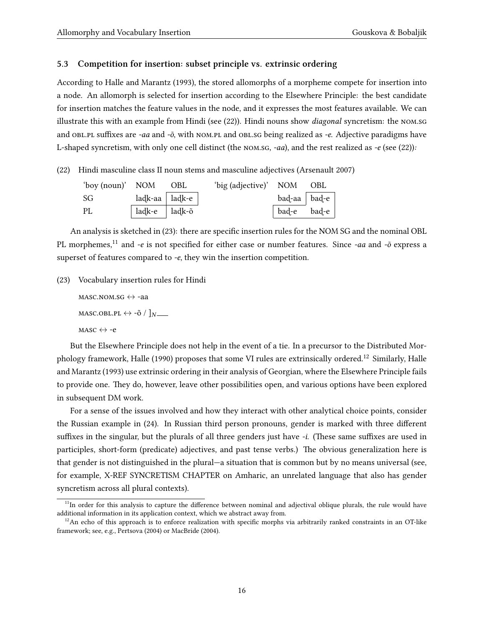### <span id="page-15-0"></span>**5.3 Competition for insertion: subset principle vs. extrinsic ordering**

According to [Halle and Marantz](#page-29-0) [\(1993](#page-29-0)), the stored allomorphs of a morpheme compete for insertion into a node. An allomorph is selected for insertion according to the Elsewhere Principle: the best candidate for insertion matches the feature values in the node, and it expresses the most features available. We can illustrate this with an example from Hindi (see [\(22\)](#page-15-1)). Hindi nouns show *diagonal* syncretism: the nom.sg and obl.pl suffixes are *-aa* and *-õ*, with nom.pl and obl.sg being realized as *-e*. Adjective paradigms have L-shaped syncretism, with only one cell distinct (the nom.sg, *-aa*), and the rest realized as *-e* (see([22\)](#page-15-1))*:*

<span id="page-15-1"></span>(22) Hindi masculine class II noun stems and masculine adjectives([Arsenault](#page-28-17) [2007\)](#page-28-17)

| 'boy (noun)' NOM |                               | OBL | 'big (adjective)' NOM OBL |                             |  |
|------------------|-------------------------------|-----|---------------------------|-----------------------------|--|
| -SG              | $la$ ladk-aa   ladk-e         |     |                           | $bad$ -aa   bad-e           |  |
| PL               | $ $ ladk-e $ $ ladk- $\delta$ |     |                           | $\vert$ bad-e bad-e $\vert$ |  |

An analysis is sketched in([23\)](#page-15-2): there are specific insertion rules for the NOM SG and the nominal OBL PL morphemes,[11](#page-15-3) and *-e* is not specified for either case or number features. Since *-aa* and *-õ* express a superset of features compared to *-e*, they win the insertion competition.

<span id="page-15-2"></span>(23) Vocabulary insertion rules for Hindi

masc.nom.sg *↔* -aa  $MASC. OBL.PL \leftrightarrow -\tilde{o} / |N\rangle$ masc *↔* -e

But the Elsewhere Principle does not help in the event of a tie. In a precursor to the Distributed Mor-phology framework, [Halle](#page-29-0) [\(1990\)](#page-29-1) proposes that some VI rules are extrinsically ordered.<sup>[12](#page-15-4)</sup> Similarly, Halle [and Marantz](#page-29-0) [\(1993](#page-29-0)) use extrinsic ordering in their analysis of Georgian, where the Elsewhere Principle fails to provide one. They do, however, leave other possibilities open, and various options have been explored in subsequent DM work.

For a sense of the issues involved and how they interact with other analytical choice points, consider the Russian example in [\(24](#page-16-0)). In Russian third person pronouns, gender is marked with three different suffixes in the singular, but the plurals of all three genders just have *-i*. (These same suffixes are used in participles, short-form (predicate) adjectives, and past tense verbs.) The obvious generalization here is that gender is not distinguished in the plural—a situation that is common but by no means universal (see, for example, X-REF SYNCRETISM CHAPTER on Amharic, an unrelated language that also has gender syncretism across all plural contexts).

<span id="page-15-3"></span><sup>&</sup>lt;sup>11</sup>In order for this analysis to capture the difference between nominal and adjectival oblique plurals, the rule would have additional information in its application context, which we abstract away from.

<span id="page-15-4"></span> $12$ An echo of this approach is to enforce realization with specific morphs via arbitrarily ranked constraints in an OT-like framework; see, e.g., [Pertsova](#page-31-12) [\(2004](#page-31-12)) or [MacBride](#page-30-10) [\(2004\)](#page-30-10).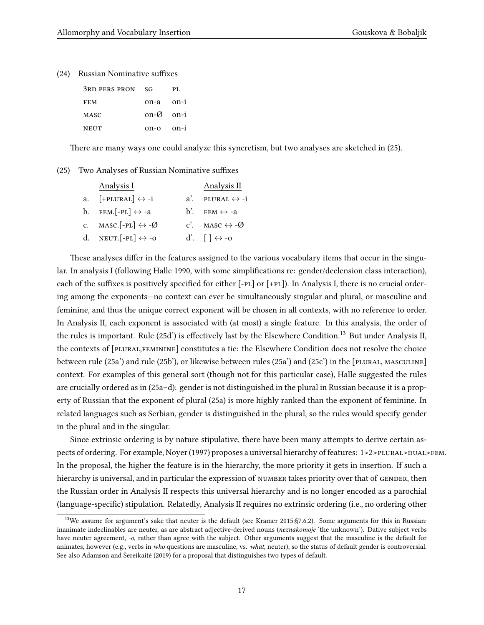<span id="page-16-0"></span>(24) Russian Nominative suffixes

| 3rd pers pron | SG                  | PL.    |
|---------------|---------------------|--------|
| <b>FEM</b>    | on-a                | $on-1$ |
| MASC          | $on-\emptyset$ on-i |        |
| <b>NEUT</b>   | on-o                | $on-i$ |

There are many ways one could analyze this syncretism, but two analyses are sketched in([25\)](#page-16-1).

#### <span id="page-16-1"></span>(25) Two Analyses of Russian Nominative suffixes

| Analysis I                                  | Analysis II                                        |
|---------------------------------------------|----------------------------------------------------|
| a. $[+PLURAL] \leftrightarrow -i$           | a'. PLURAL $\leftrightarrow$ -i                    |
| b. FEM. $[-PL] \leftrightarrow -a$          | b'. FEM $\leftrightarrow$ -a                       |
| c. MASC. $[-PL] \leftrightarrow -\emptyset$ | c'. MASC $\leftrightarrow -\varnothing$            |
| d. NEUT. $[-PL] \leftrightarrow -0$         | d'. $\lceil \cdot \rangle \leftrightarrow -\infty$ |
|                                             |                                                    |

These analyses differ in the features assigned to the various vocabulary items that occur in the singular. In analysis I (following [Halle](#page-29-1) [1990,](#page-29-1) with some simplifications re: gender/declension class interaction), each of the suffixes is positively specified for either  $[-PL]$  or  $[+PL]$ ). In Analysis I, there is no crucial ordering among the exponents—no context can ever be simultaneously singular and plural, or masculine and feminine, and thus the unique correct exponent will be chosen in all contexts, with no reference to order. In Analysis II, each exponent is associated with (at most) a single feature. In this analysis, the order of the rules is important. Rule [\(25](#page-16-1)d') is effectively last by the Elsewhere Condition.<sup>[13](#page-16-2)</sup> But under Analysis II, the contexts of [plural,feminine] constitutes a tie: the Elsewhere Condition does not resolve the choice between rule([25a](#page-16-1)') and rule([25](#page-16-1)b'), or likewise between rules([25a](#page-16-1)') and([25c](#page-16-1)') in the [plural, masculine] context. For examples of this general sort (though not for this particular case), Halle suggested the rules are crucially ordered as in [\(25](#page-16-1)a–d): gender is not distinguished in the plural in Russian because it is a property of Russian that the exponent of plural [\(25a](#page-16-1)) is more highly ranked than the exponent of feminine. In related languages such as Serbian, gender is distinguished in the plural, so the rules would specify gender in the plural and in the singular.

Since extrinsic ordering is by nature stipulative, there have been many attempts to derive certain as-pects of ordering. For example, Noyer [\(1997\)](#page-31-13) proposes a universal hierarchy of features: 1>2>pLURAL>DUAL>FEM. In the proposal, the higher the feature is in the hierarchy, the more priority it gets in insertion. If such a hierarchy is universal, and in particular the expression of NUMBER takes priority over that of GENDER, then the Russian order in Analysis II respects this universal hierarchy and is no longer encoded as a parochial (language-specific) stipulation. Relatedly, Analysis II requires no extrinsic ordering (i.e., no ordering other

<span id="page-16-2"></span><sup>&</sup>lt;sup>13</sup>We assume for argument's sake that neuter is the default (see [Kramer](#page-30-11) [2015](#page-30-11):§7.6.2). Some arguments for this in Russian: inanimate indeclinables are neuter, as are abstract adjective-derived nouns (*neznakomoje* 'the unknown'). Dative subject verbs have neuter agreement, *-o*, rather than agree with the subject. Other arguments suggest that the masculine is the default for animates, however (e.g., verbs in *who* questions are masculine, vs. *what*, neuter), so the status of default gender is controversial. See also [Adamson and Šereikaitė](#page-27-1) [\(2019\)](#page-27-1) for a proposal that distinguishes two types of default.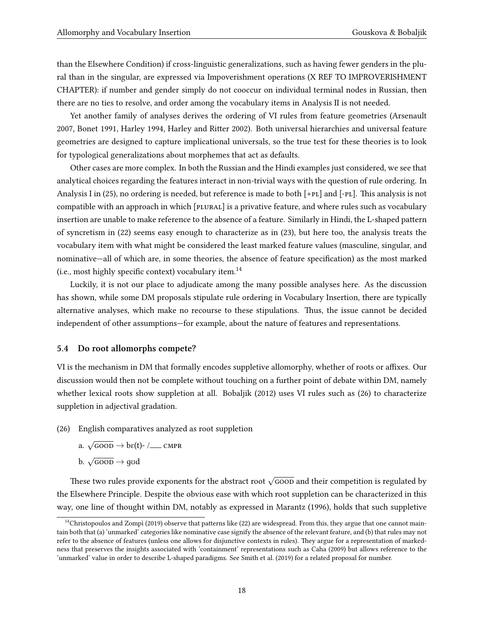than the Elsewhere Condition) if cross-linguistic generalizations, such as having fewer genders in the plural than in the singular, are expressed via Impoverishment operations (X REF TO IMPROVERISHMENT CHAPTER): if number and gender simply do not cooccur on individual terminal nodes in Russian, then there are no ties to resolve, and order among the vocabulary items in Analysis II is not needed.

Yet another family of analyses derives the ordering of VI rules from feature geometries (Arsenault [2007](#page-28-17), [Bonet](#page-28-18) [1991](#page-28-18), [Harley](#page-30-12) [1994,](#page-30-12) [Harley and Ritter](#page-30-13) [2002\)](#page-30-13). Both universal hierarchies and universal feature geometries are designed to capture implicational universals, so the true test for these theories is to look for typological generalizations about morphemes that act as defaults.

Other cases are more complex. In both the Russian and the Hindi examples just considered, we see that analytical choices regarding the features interact in non-trivial ways with the question of rule ordering. In Analysis I in [\(25](#page-16-1)), no ordering is needed, but reference is made to both  $[+PL]$  and  $[-PL]$ . This analysis is not compatible with an approach in which [PLURAL] is a privative feature, and where rules such as vocabulary insertion are unable to make reference to the absence of a feature. Similarly in Hindi, the L-shaped pattern of syncretism in [\(22](#page-15-1)) seems easy enough to characterize as in([23\)](#page-15-2), but here too, the analysis treats the vocabulary item with what might be considered the least marked feature values (masculine, singular, and nominative—all of which are, in some theories, the absence of feature specification) as the most marked (i.e., most highly specific context) vocabulary item.<sup>[14](#page-17-1)</sup>

Luckily, it is not our place to adjudicate among the many possible analyses here. As the discussion has shown, while some DM proposals stipulate rule ordering in Vocabulary Insertion, there are typically alternative analyses, which make no recourse to these stipulations. Thus, the issue cannot be decided independent of other assumptions—for example, about the nature of features and representations.

#### <span id="page-17-0"></span>**5.4 Do root allomorphs compete?**

VI is the mechanism in DM that formally encodes suppletive allomorphy, whether of roots or affixes. Our discussion would then not be complete without touching on a further point of debate within DM, namely whether lexical roots show suppletion at all. [Bobaljik](#page-28-15) ([2012\)](#page-28-15) uses VI rules such as [\(26](#page-17-2)) to characterize suppletion in adjectival gradation.

- <span id="page-17-2"></span>(26) English comparatives analyzed as root suppletion
	- a.  $\sqrt{\text{GOOD}} \to \text{be}(\text{t})$  /\_\_\_ CMPR
	- b. *√* good *→* ɡʊd

These two rules provide exponents for the abstract root *√* good and their competition is regulated by the Elsewhere Principle. Despite the obvious ease with which root suppletion can be characterized in this way, one line of thought within DM, notably as expressed in [Marantz](#page-30-14) ([1996](#page-30-14)), holds that such suppletive

<span id="page-17-1"></span> $14$ [Christopoulos and Zompì](#page-29-14) [\(2019](#page-29-14)) observe that patterns like [\(22\)](#page-15-1) are widespread. From this, they argue that one cannot maintain both that (a) 'unmarked' categories like nominative case signify the absence of the relevant feature, and (b) that rules may not refer to the absence of features (unless one allows for disjunctive contexts in rules). They argue for a representation of markedness that preserves the insights associated with 'containment' representations such as [Caha](#page-28-19) [\(2009](#page-28-19)) but allows reference to the 'unmarked' value in order to describe L-shaped paradigms. See [Smith et al.](#page-32-5) ([2019](#page-32-5)) for a related proposal for number.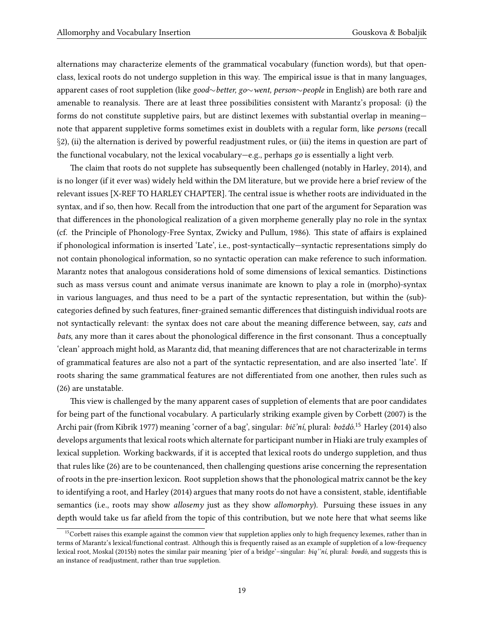alternations may characterize elements of the grammatical vocabulary (function words), but that openclass, lexical roots do not undergo suppletion in this way. The empirical issue is that in many languages, apparent cases of root suppletion (like *good∼better, go∼went, person∼people* in English) are both rare and amenable to reanalysis. There are at least three possibilities consistent with Marantz's proposal: (i) the forms do not constitute suppletive pairs, but are distinct lexemes with substantial overlap in meaning note that apparent suppletive forms sometimes exist in doublets with a regular form, like *persons* (recall *§*[2\)](#page-2-0), (ii) the alternation is derived by powerful readjustment rules, or (iii) the items in question are part of the functional vocabulary, not the lexical vocabulary—e.g., perhaps *go* is essentially a light verb.

The claim that roots do not supplete has subsequently been challenged (notably in [Harley](#page-30-15), [2014](#page-30-15)), and is no longer (if it ever was) widely held within the DM literature, but we provide here a brief review of the relevant issues [X-REF TO HARLEY CHAPTER]. The central issue is whether roots are individuated in the syntax, and if so, then how. Recall from the introduction that one part of the argument for Separation was that differences in the phonological realization of a given morpheme generally play no role in the syntax (cf. the Principle of Phonology-Free Syntax, [Zwicky and Pullum](#page-33-4), [1986](#page-33-4)). This state of affairs is explained if phonological information is inserted 'Late', i.e., post-syntactically—syntactic representations simply do not contain phonological information, so no syntactic operation can make reference to such information. Marantz notes that analogous considerations hold of some dimensions of lexical semantics. Distinctions such as mass versus count and animate versus inanimate are known to play a role in (morpho)-syntax in various languages, and thus need to be a part of the syntactic representation, but within the (sub) categories defined by such features, finer-grained semantic differences that distinguish individual roots are not syntactically relevant: the syntax does not care about the meaning difference between, say, *cats* and *bats*, any more than it cares about the phonological difference in the first consonant. Thus a conceptually 'clean' approach might hold, as Marantz did, that meaning differences that are not characterizable in terms of grammatical features are also not a part of the syntactic representation, and are also inserted 'late'. If roots sharing the same grammatical features are not differentiated from one another, then rules such as [\(26](#page-17-2)) are unstatable.

This view is challenged by the many apparent cases of suppletion of elements that are poor candidates for being part of the functional vocabulary. A particularly striking example given by [Corbett](#page-29-5) ([2007\)](#page-29-5) is the Archi pair (from [Kibrik](#page-30-16) [1977\)](#page-30-16) meaning 'corner of a bag', singular: *bič'ní*, plural: *boždó*. [15](#page-18-0) [Harley](#page-30-15) ([2014\)](#page-30-15) also develops arguments that lexical roots which alternate for participant number in Hiaki are truly examples of lexical suppletion. Working backwards, if it is accepted that lexical roots do undergo suppletion, and thus that rules like [\(26](#page-17-2)) are to be countenanced, then challenging questions arise concerning the representation of roots in the pre-insertion lexicon. Root suppletion shows that the phonological matrix cannot be the key to identifying a root, and [Harley](#page-30-15) [\(2014\)](#page-30-15) argues that many roots do not have a consistent, stable, identifiable semantics (i.e., roots may show *allosemy* just as they show *allomorphy*). Pursuing these issues in any depth would take us far afield from the topic of this contribution, but we note here that what seems like

<span id="page-18-0"></span> $15$ Corbett raises this example against the common view that suppletion applies only to high frequency lexemes, rather than in terms of Marantz's lexical/functional contrast. Although this is frequently raised as an example of suppletion of a low-frequency lexical root, [Moskal](#page-31-9) ([2015b\)](#page-31-9) notes the similar pair meaning 'pier of a bridge'–singular: *biq'ˁní*, plural: *boʁdó*, and suggests this is an instance of readjustment, rather than true suppletion.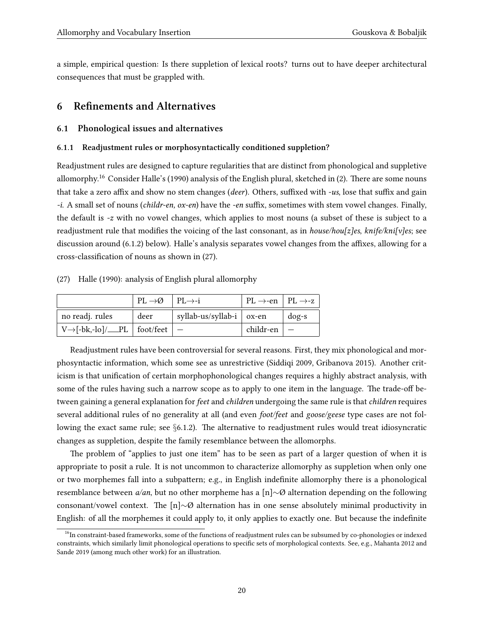a simple, empirical question: Is there suppletion of lexical roots? turns out to have deeper architectural consequences that must be grappled with.

# <span id="page-19-0"></span>**6 Refinements and Alternatives**

#### **6.1 Phonological issues and alternatives**

#### <span id="page-19-1"></span>**6.1.1 Readjustment rules or morphosyntactically conditioned suppletion?**

Readjustment rules are designed to capture regularities that are distinct from phonological and suppletive allomorphy.[16](#page-19-2) Consider Halle's [\(1990](#page-29-1)) analysis of the English plural, sketched in [\(2](#page-1-2)). There are some nouns that take a zero affix and show no stem changes (*deer*). Others, suffixed with *-us*, lose that suffix and gain *-i*. A small set of nouns (*childr-en, ox-en*) have the *-en* suffix, sometimes with stem vowel changes. Finally, the default is *-z* with no vowel changes, which applies to most nouns (a subset of these is subject to a readjustment rule that modifies the voicing of the last consonant, as in *house/hou[z]es*, *knife/kni[v]es*; see discussion around [\(6.1.2](#page-20-0)) below). Halle's analysis separates vowel changes from the affixes, allowing for a cross-classification of nouns as shown in [\(27\)](#page-19-3).

<span id="page-19-3"></span>

| (27) |  | Halle (1990): analysis of English plural allomorphy |  |  |
|------|--|-----------------------------------------------------|--|--|
|      |  |                                                     |  |  |

|                                              | $PL \rightarrow \varnothing$ | $PI \rightarrow i$         | $PL \rightarrow en$   $PL \rightarrow z$ |         |
|----------------------------------------------|------------------------------|----------------------------|------------------------------------------|---------|
| no readj. rules                              | deer                         | syllab-us/syllab-i   ox-en |                                          | $dog-s$ |
| $ V \rightarrow [-bk,-lo]/\_\_PL $ foot/feet |                              |                            | childr-en                                |         |

Readjustment rules have been controversial for several reasons. First, they mix phonological and morphosyntactic information, which some see as unrestrictive([Siddiqi](#page-32-10) [2009,](#page-32-10) [Gribanova](#page-29-15) [2015](#page-29-15)). Another criticism is that unification of certain morphophonological changes requires a highly abstract analysis, with some of the rules having such a narrow scope as to apply to one item in the language. The trade-off between gaining a general explanation for *feet* and *children* undergoing the same rule is that *children* requires several additional rules of no generality at all (and even *foot/feet* and *goose/geese* type cases are not following the exact same rule; see *§*[6.1.2\)](#page-20-0). The alternative to readjustment rules would treat idiosyncratic changes as suppletion, despite the family resemblance between the allomorphs.

The problem of "applies to just one item" has to be seen as part of a larger question of when it is appropriate to posit a rule. It is not uncommon to characterize allomorphy as suppletion when only one or two morphemes fall into a subpattern; e.g., in English indefinite allomorphy there is a phonological resemblance between *a/an*, but no other morpheme has a [n]*∼*Ø alternation depending on the following consonant/vowel context. The [n]*∼*Ø alternation has in one sense absolutely minimal productivity in English: of all the morphemes it could apply to, it only applies to exactly one. But because the indefinite

<span id="page-19-2"></span><sup>&</sup>lt;sup>16</sup>In constraint-based frameworks, some of the functions of readjustment rules can be subsumed by co-phonologies or indexed constraints, which similarly limit phonological operations to specific sets of morphological contexts. See, e.g., [Mahanta](#page-30-17) [2012](#page-30-17) and [Sande](#page-32-11) [2019](#page-32-11) (among much other work) for an illustration.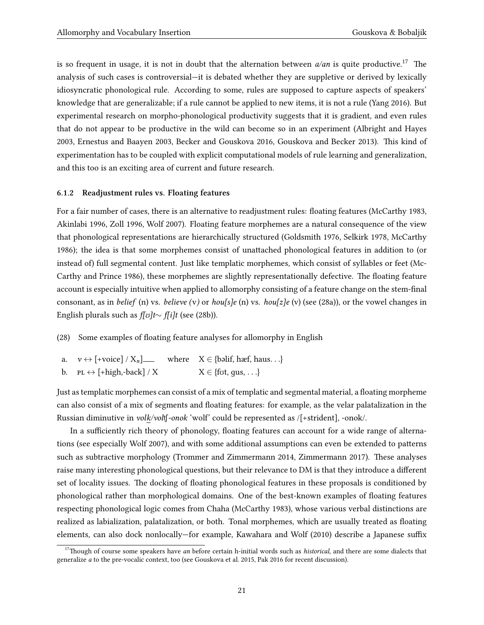is so frequent in usage, it is not in doubt that the alternation between *a/an* is quite productive.[17](#page-20-1) The analysis of such cases is controversial—it is debated whether they are suppletive or derived by lexically idiosyncratic phonological rule. According to some, rules are supposed to capture aspects of speakers' knowledge that are generalizable; if a rule cannot be applied to new items, it is not a rule [\(Yang](#page-33-5) [2016](#page-33-5)). But experimental research on morpho-phonological productivity suggests that it is gradient, and even rules that do not appear to be productive in the wild can become so in an experiment([Albright and Hayes](#page-27-2) [2003](#page-27-2), [Ernestus and Baayen](#page-29-16) [2003,](#page-29-16) [Becker and Gouskova](#page-28-20) [2016](#page-28-20), [Gouskova and Becker](#page-29-17) [2013\)](#page-29-17). This kind of experimentation has to be coupled with explicit computational models of rule learning and generalization, and this too is an exciting area of current and future research.

#### <span id="page-20-0"></span>**6.1.2 Readjustment rules vs. Floating features**

For a fair number of cases, there is an alternative to readjustment rules: floating features([McCarthy](#page-31-14) [1983,](#page-31-14) [Akinlabi](#page-27-3) [1996,](#page-27-3) [Zoll](#page-33-6) [1996](#page-33-6), [Wolf](#page-32-9) [2007](#page-32-9)). Floating feature morphemes are a natural consequence of the view that phonological representations are hierarchically structured [\(Goldsmith](#page-29-18) [1976](#page-29-18), [Selkirk](#page-32-12) [1978,](#page-32-12) [McCarthy](#page-31-15) [1986](#page-31-15)); the idea is that some morphemes consist of unattached phonological features in addition to (or instead of) full segmental content. Just like templatic morphemes, which consist of syllables or feet [\(Mc-](#page-31-16)[Carthy and Prince](#page-31-16) [1986](#page-31-16)), these morphemes are slightly representationally defective. The floating feature account is especially intuitive when applied to allomorphy consisting of a feature change on the stem-final consonant, as in *belief* (n) vs. *believe (*v*)* or *hou[s]e* (n) vs. *hou[z]e* (v) (see([28a](#page-20-2))), or the vowel changes in English plurals such as *f[ʊ]t∼ f[i]t* (see [\(28](#page-20-2)b)).

- <span id="page-20-2"></span>(28) Some examples of floating feature analyses for allomorphy in English
- a.  $v \leftrightarrow$  [+voice] / X<sub>n</sub>] where  $X \in$  {bəlif, hæf, haus. . .}<br>b.  $PL \leftrightarrow$  [+high,-back] / X  $X \in$  {fot, gus, . . .} b.  $PL \leftrightarrow$   $[+high, -back] / X$

Just as templatic morphemes can consist of a mix of templatic and segmental material, a floating morpheme can also consist of a mix of segments and floating features: for example, as the velar palatalization in the Russian diminutive in *volk/vol*t<sup>*c*</sup>-onok 'wolf' could be represented as /[+strident], -onok/.

In a sufficiently rich theory of phonology, floating features can account for a wide range of alternations (see especially Wolf [2007\)](#page-32-9), and with some additional assumptions can even be extended to patterns such as subtractive morphology [\(Trommer and Zimmermann](#page-32-13) [2014,](#page-32-13) [Zimmermann](#page-33-7) [2017](#page-33-7)). These analyses raise many interesting phonological questions, but their relevance to DM is that they introduce a different set of locality issues. The docking of floating phonological features in these proposals is conditioned by phonological rather than morphological domains. One of the best-known examples of floating features respecting phonological logic comes from Chaha([McCarthy](#page-31-14) [1983\)](#page-31-14), whose various verbal distinctions are realized as labialization, palatalization, or both. Tonal morphemes, which are usually treated as floating elements, can also dock nonlocally—for example, [Kawahara and Wolf](#page-30-18) [\(2010](#page-30-18)) describe a Japanese suffix

<span id="page-20-1"></span><sup>17</sup>Though of course some speakers have *an* before certain h-initial words such as *historical,* and there are some dialects that generalize *a* to the pre-vocalic context, too (see [Gouskova et al.](#page-29-3) [2015,](#page-29-3) [Pak](#page-31-17) [2016](#page-31-17) for recent discussion).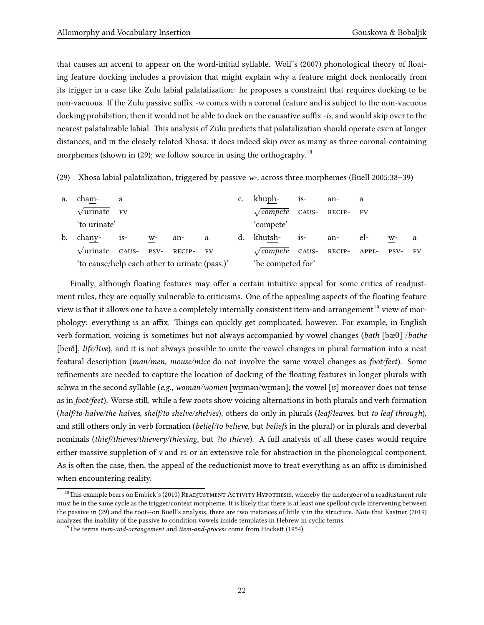that causes an accent to appear on the word-initial syllable. Wolf's [\(2007](#page-32-9)) phonological theory of floating feature docking includes a provision that might explain why a feature might dock nonlocally from its trigger in a case like Zulu labial palatalization: he proposes a constraint that requires docking to be non-vacuous. If the Zulu passive suffix *-w* comes with a coronal feature and is subject to the non-vacuous docking prohibition, then it would not be able to dock on the causative suffix *-is*, and would skip over to the nearest palatalizable labial. This analysis of Zulu predicts that palatalization should operate even at longer distances, and in the closely related Xhosa, it does indeed skip over as many as three coronal-containing morphemes (shown in [\(29\)](#page-21-0); we follow source in using the orthography.<sup>[18](#page-21-1)</sup>

<span id="page-21-0"></span>(29) Xhosa labial palatalization, triggered by passive *w-,* across three morphemes([Buell](#page-28-21) [2005:](#page-28-21)38–39)

| a. | cham-                                         | a              |        |        |                        | c. khuph-                                           | $is-$ | an- | а   |       |     |
|----|-----------------------------------------------|----------------|--------|--------|------------------------|-----------------------------------------------------|-------|-----|-----|-------|-----|
|    | $\sqrt{\text{urinate}}$ FV                    |                |        |        |                        | $\sqrt{\text{complete}}$ CAUS- RECIP- FV            |       |     |     |       |     |
|    | 'to urinate'                                  |                |        |        |                        | `compete'                                           |       |     |     |       |     |
| b. | chany-                                        | i <sub>S</sub> | w- an- | a a    |                        | d. khutsh-                                          | $iS-$ | an- | el- | $W^-$ | - a |
|    | $\sqrt{\text{urinate}}$ CAUS- PSV-            |                |        | RECIP- | $\mathbf{F}\mathbf{V}$ | $\sqrt{\text{complete}}$ CAUS- RECIP- APPL- PSV- FV |       |     |     |       |     |
|    | 'to cause/help each other to urinate (pass.)' |                |        |        | 'be competed for'      |                                                     |       |     |     |       |     |

Finally, although floating features may offer a certain intuitive appeal for some critics of readjustment rules, they are equally vulnerable to criticisms. One of the appealing aspects of the floating feature view is that it allows one to have a completely internally consistent item-and-arrangement<sup>[19](#page-21-2)</sup> view of morphology: everything is an affix. Things can quickly get complicated, however. For example, in English verb formation, voicing is sometimes but not always accompanied by vowel changes (*bath* [bæθ] /*bathe* [beɪð], *life/live*), and it is not always possible to unite the vowel changes in plural formation into a neat featural description (*man/men, mouse/mice* do not involve the same vowel changes as *foot/feet*). Some refinements are needed to capture the location of docking of the floating features in longer plurals with schwa in the second syllable (*e.g., woman/women* [wʊmən/wɪmən]; the vowel [ʊ] moreover does not tense as in *foot/feet*). Worse still, while a few roots show voicing alternations in both plurals and verb formation (*half/to halve/the halves, shelf/to shelve/shelves*), others do only in plurals (*leaf/leaves*, but *to leaf through*), and still others only in verb formation (*belief/to believe*, but *beliefs* in the plural) or in plurals and deverbal nominals (*thief/thieves/thievery/thieving*, but *?to thieve*). A full analysis of all these cases would require either massive suppletion of  $\nu$  and  $\nu$  or an extensive role for abstraction in the phonological component. As is often the case, then, the appeal of the reductionist move to treat everything as an affix is diminished when encountering reality.

<span id="page-21-1"></span><sup>&</sup>lt;sup>18</sup>This example bears on Embick's [\(2010\)](#page-29-9) READJUSTMENT ACTIVITY HYPOTHESIS, whereby the undergoer of a readjustment rule must be in the same cycle as the trigger/context morpheme. It is likely that there is at least one spellout cycle intervening between the passive in [\(29\)](#page-21-0) and the root—on Buell's analysis, there are two instances of little v in the structure. Note that [Kastner](#page-30-7) ([2019](#page-30-7)) analyzes the inability of the passive to condition vowels inside templates in Hebrew in cyclic terms.

<span id="page-21-2"></span><sup>19</sup>The terms *item-and-arrangement* and *item-and-process* come from [Hockett](#page-30-6) [\(1954](#page-30-6)).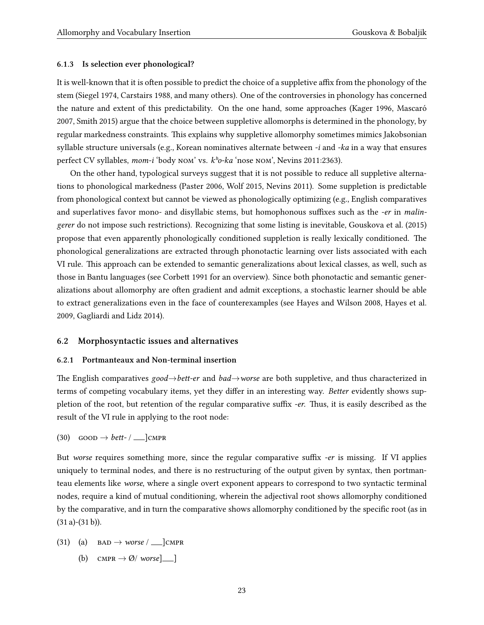#### **6.1.3 Is selection ever phonological?**

It is well-known that it is often possible to predict the choice of a suppletive affix from the phonology of the stem([Siegel](#page-32-14) [1974,](#page-32-14) [Carstairs](#page-28-22) [1988,](#page-28-22) and many others). One of the controversies in phonology has concerned the nature and extent of this predictability. On the one hand, some approaches([Kager](#page-30-19) [1996,](#page-30-19) [Mascaró](#page-30-2) [2007](#page-30-2), [Smith](#page-32-15) [2015\)](#page-32-15) argue that the choice between suppletive allomorphs is determined in the phonology, by regular markedness constraints. This explains why suppletive allomorphy sometimes mimics Jakobsonian syllable structure universals (e.g., Korean nominatives alternate between *-i* and *-ka* in a way that ensures perfect CV syllables, *mom-i* 'body nom' vs. *kʰo-ka* 'nose nom', [Nevins](#page-31-18) [2011:](#page-31-18)2363).

On the other hand, typological surveys suggest that it is not possible to reduce all suppletive alternations to phonological markedness [\(Paster](#page-31-19) [2006](#page-31-19), [Wolf](#page-33-0) [2015,](#page-33-0) [Nevins](#page-31-18) [2011\)](#page-31-18). Some suppletion is predictable from phonological context but cannot be viewed as phonologically optimizing (e.g., English comparatives and superlatives favor mono- and disyllabic stems, but homophonous suffixes such as the *-er* in *malingerer* do not impose such restrictions). Recognizing that some listing is inevitable, [Gouskova et al.](#page-29-3) [\(2015\)](#page-29-3) propose that even apparently phonologically conditioned suppletion is really lexically conditioned. The phonological generalizations are extracted through phonotactic learning over lists associated with each VI rule. This approach can be extended to semantic generalizations about lexical classes, as well, such as those in Bantu languages (see [Corbett](#page-29-19) [1991](#page-29-19) for an overview). Since both phonotactic and semantic generalizations about allomorphy are often gradient and admit exceptions, a stochastic learner should be able to extract generalizations even in the face of counterexamples (see [Hayes and Wilson](#page-30-20) [2008,](#page-30-20) [Hayes et al.](#page-30-21) [2009](#page-30-21), [Gagliardi and Lidz](#page-29-20) [2014](#page-29-20)).

#### **6.2 Morphosyntactic issues and alternatives**

#### <span id="page-22-0"></span>**6.2.1 Portmanteaux and Non-terminal insertion**

The English comparatives *good→bett-er* and *bad→worse* are both suppletive, and thus characterized in terms of competing vocabulary items, yet they differ in an interesting way. *Better* evidently shows suppletion of the root, but retention of the regular comparative suffix *-er*. Thus, it is easily described as the result of the VI rule in applying to the root node:

$$
(30) \quad \text{GOOD} \to \text{bett-} / \_\_\text{CMPR}
$$

But *worse* requires something more, since the regular comparative suffix *-er* is missing. If VI applies uniquely to terminal nodes, and there is no restructuring of the output given by syntax, then portmanteau elements like *worse*, where a single overt exponent appears to correspond to two syntactic terminal nodes, require a kind of mutual conditioning, wherein the adjectival root shows allomorphy conditioned by the comparative, and in turn the comparative shows allomorphy conditioned by the specific root (as in  $(31 a)-(31 b)$  $(31 a)-(31 b)$  $(31 a)-(31 b)$ ).

- <span id="page-22-2"></span><span id="page-22-1"></span> $(31)$  (a)  $BAD \rightarrow worse / \_com{comp}$ 
	- (b)  $CMPR \rightarrow \emptyset / worse$ ]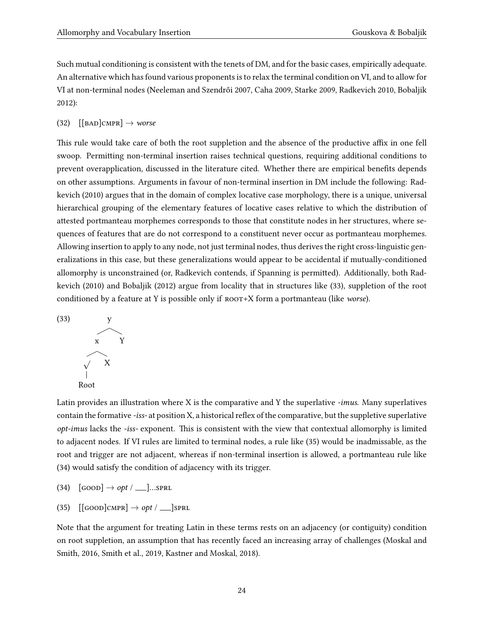Such mutual conditioning is consistent with the tenets of DM, and for the basic cases, empirically adequate. An alternative which has found various proponents is to relax the terminal condition on VI, and to allow for VI at non-terminal nodes [\(Neeleman and Szendrői](#page-31-20) [2007](#page-31-20), [Caha](#page-28-19) [2009](#page-28-19), [Starke](#page-32-16) [2009](#page-32-16), [Radkevich](#page-32-17) [2010](#page-32-17), [Bobaljik](#page-28-15) [2012](#page-28-15)):

#### <span id="page-23-3"></span> $(32)$  [[BAD]CMPR]  $\rightarrow$  *worse*

This rule would take care of both the root suppletion and the absence of the productive affix in one fell swoop. Permitting non-terminal insertion raises technical questions, requiring additional conditions to prevent overapplication, discussed in the literature cited. Whether there are empirical benefits depends on other assumptions. Arguments in favour of non-terminal insertion in DM include the following: [Rad](#page-32-17)[kevich](#page-32-17) [\(2010](#page-32-17)) argues that in the domain of complex locative case morphology, there is a unique, universal hierarchical grouping of the elementary features of locative cases relative to which the distribution of attested portmanteau morphemes corresponds to those that constitute nodes in her structures, where sequences of features that are do not correspond to a constituent never occur as portmanteau morphemes. Allowing insertion to apply to any node, not just terminal nodes, thus derives the right cross-linguistic generalizations in this case, but these generalizations would appear to be accidental if mutually-conditioned allomorphy is unconstrained (or, Radkevich contends, if Spanning is permitted). Additionally, both [Rad](#page-32-17)[kevich](#page-32-17) [\(2010](#page-32-17)) and [Bobaljik](#page-28-15) ([2012](#page-28-15)) argue from locality that in structures like [\(33](#page-23-0)), suppletion of the root conditioned by a feature at Y is possible only if  $room+X$  form a portmanteau (like *worse*).

<span id="page-23-0"></span>

Latin provides an illustration where X is the comparative and Y the superlative *-imus*. Many superlatives contain the formative *-iss-* at position X, a historical reflex of the comparative, but the suppletive superlative *opt-imus* lacks the *-iss-* exponent. This is consistent with the view that contextual allomorphy is limited to adjacent nodes. If VI rules are limited to terminal nodes, a rule like([35\)](#page-23-1) would be inadmissable, as the root and trigger are not adjacent, whereas if non-terminal insertion is allowed, a portmanteau rule like [\(34](#page-23-2)) would satisfy the condition of adjacency with its trigger.

- <span id="page-23-2"></span> $(34)$   $[600D] \rightarrow opt /$  [... SPRL]
- <span id="page-23-1"></span> $(35)$  [[GOOD]CMPR]  $\rightarrow$  *opt* / \_\_]SPRL

Note that the argument for treating Latin in these terms rests on an adjacency (or contiguity) condition on root suppletion, an assumption that has recently faced an increasing array of challenges [\(Moskal and](#page-31-7) [Smith](#page-31-7), [2016,](#page-31-7) [Smith et al.,](#page-32-5) [2019](#page-32-5), [Kastner and Moskal](#page-30-5), [2018](#page-30-5)).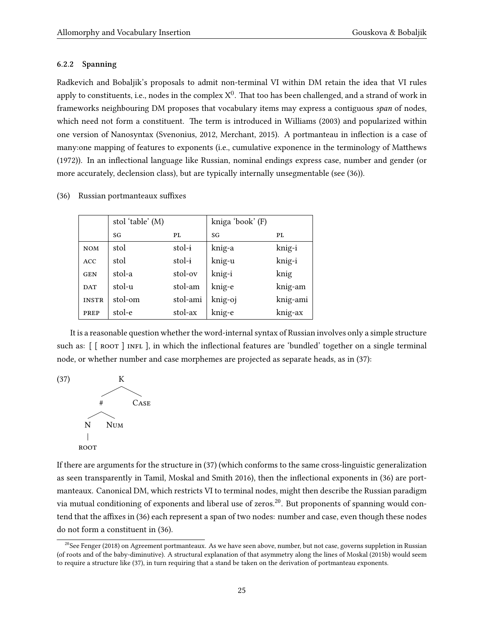### **6.2.2 Spanning**

Radkevich and Bobaljik's proposals to admit non-terminal VI within DM retain the idea that VI rules apply to constituents, i.e., nodes in the complex  $\mathrm{X}^{0}.$  That too has been challenged, and a strand of work in frameworks neighbouring DM proposes that vocabulary items may express a contiguous *span* of nodes, which need not form a constituent. The term is introduced in [Williams](#page-32-18) ([2003](#page-32-18)) and popularized within one version of Nanosyntax([Svenonius,](#page-32-19) [2012,](#page-32-19) [Merchant,](#page-31-21) [2015\)](#page-31-21). A portmanteau in inflection is a case of many:one mapping of features to exponents (i.e., cumulative exponence in the terminology of [Matthews](#page-31-0) [\(1972\)](#page-31-0)). In an inflectional language like Russian, nominal endings express case, number and gender (or more accurately, declension class), but are typically internally unsegmentable (see([36\)](#page-24-0)).

<span id="page-24-0"></span>

|              | stol 'table' (M) |          | kniga 'book' (F) |          |
|--------------|------------------|----------|------------------|----------|
|              | SG               | PL       | SG               | PL       |
| <b>NOM</b>   | stol             | $stol-i$ | knig-a           | knig-i   |
| <b>ACC</b>   | stol             | stol-i   | knig-u           | knig-i   |
| <b>GEN</b>   | stol-a           | stol-ov  | knig-i           | knig     |
| <b>DAT</b>   | stol-u           | stol-am  | knig-e           | knig-am  |
| <b>INSTR</b> | stol-om          | stol-ami | knig-oj          | knig-ami |
| PREP         | stol-e           | stol-ax  | knig-e           | knig-ax  |

It is a reasonable question whether the word-internal syntax of Russian involves only a simple structure such as:  $\lceil \lceil$  ROOT  $\rceil$  INFL  $\rceil$ , in which the inflectional features are 'bundled' together on a single terminal node, or whether number and case morphemes are projected as separate heads, as in [\(37\)](#page-24-1):

<span id="page-24-1"></span>

If there are arguments for the structure in([37](#page-24-1)) (which conforms to the same cross-linguistic generalization as seen transparently in Tamil, [Moskal and Smith](#page-31-7) [2016\)](#page-31-7), then the inflectional exponents in [\(36](#page-24-0)) are portmanteaux. Canonical DM, which restricts VI to terminal nodes, might then describe the Russian paradigm via mutual conditioning of exponents and liberal use of zeros.<sup>[20](#page-24-2)</sup>. But proponents of spanning would contend that the affixes in([36](#page-24-0)) each represent a span of two nodes: number and case, even though these nodes do not form a constituent in [\(36](#page-24-0)).

<span id="page-24-2"></span> $^{20}$ See [Fenger](#page-29-21) [\(2018\)](#page-29-21) on Agreement portmanteaux. As we have seen above, number, but not case, governs suppletion in Russian (of roots and of the baby-diminutive). A structural explanation of that asymmetry along the lines of [Moskal](#page-31-9) [\(2015b](#page-31-9)) would seem to require a structure like [\(37\)](#page-24-1), in turn requiring that a stand be taken on the derivation of portmanteau exponents.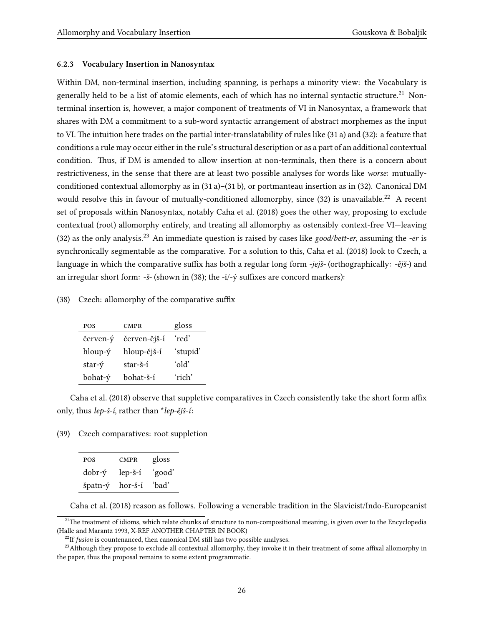#### <span id="page-25-0"></span>**6.2.3 Vocabulary Insertion in Nanosyntax**

Within DM, non-terminal insertion, including spanning, is perhaps a minority view: the Vocabulary is generally held to be a list of atomic elements, each of which has no internal syntactic structure.<sup>[21](#page-25-1)</sup> Nonterminal insertion is, however, a major component of treatments of VI in Nanosyntax, a framework that shares with DM a commitment to a sub-word syntactic arrangement of abstract morphemes as the input to VI. The intuition here trades on the partial inter-translatability of rules like [\(31 a](#page-22-1)) and([32](#page-23-3)): a feature that conditions a rule may occur either in the rule's structural description or as a part of an additional contextual condition. Thus, if DM is amended to allow insertion at non-terminals, then there is a concern about restrictiveness, in the sense that there are at least two possible analyses for words like *worse*: mutuallyconditioned contextual allomorphy as in([31 a](#page-22-1))–([31 b](#page-22-2)), or portmanteau insertion as in([32](#page-23-3)). Canonical DM wouldresolve this in favour of mutually-conditioned allomorphy, since ([32\)](#page-23-3) is unavailable.<sup>[22](#page-25-2)</sup> A recent set of proposals within Nanosyntax, notably [Caha et al.](#page-28-23) [\(2018](#page-28-23)) goes the other way, proposing to exclude contextual (root) allomorphy entirely, and treating all allomorphy as ostensibly context-free VI—leaving [\(32](#page-23-3)) as the only analysis.[23](#page-25-3) An immediate question is raised by cases like *good/bett-er*, assuming the *-er* is synchronically segmentable as the comparative. For a solution to this, [Caha et al.](#page-28-23) ([2018](#page-28-23)) look to Czech, a language in which the comparative suffix has both a regular long form *-jejš-* (orthographically: *-ějš-*) and an irregular short form: *-š-* (shown in [\(38](#page-25-4)); the -í/-ý suffixes are concord markers):

<span id="page-25-4"></span>(38) Czech: allomorphy of the comparative suffix

| <b>POS</b>   | <b>CMPR</b>  | gloss    |
|--------------|--------------|----------|
| červen-ý     | červen-ějš-í | ʻred'    |
| hloup-ý      | hloup-ějš-í  | 'stupid' |
| $star-\v{y}$ | star-š-í     | ʻold'    |
| bohat-ý      | bohat-š-í    | ʻrich'   |

[Caha et al.](#page-28-23) [\(2018\)](#page-28-23) observe that suppletive comparatives in Czech consistently take the short form affix only, thus *lep-š-í*, rather than \**lep-ějš-í*:

(39) Czech comparatives: root suppletion

| <b>POS</b>          | <b>CMPR</b> | gloss  |
|---------------------|-------------|--------|
| $d_{\rm obr-\v{y}}$ | lep-š-í     | 'good' |
| špatn-ý             | hor-š-í     | ʻbad'  |

[Caha et al.](#page-28-23) ([2018](#page-28-23)) reason as follows. Following a venerable tradition in the Slavicist/Indo-Europeanist

<span id="page-25-1"></span> $^{21}$ The treatment of idioms, which relate chunks of structure to non-compositional meaning, is given over to the Encyclopedia ([Halle and Marantz](#page-29-0) [1993,](#page-29-0) X-REF ANOTHER CHAPTER IN BOOK)

<span id="page-25-3"></span><span id="page-25-2"></span> $^{22}$ If *fusion* is countenanced, then canonical DM still has two possible analyses.

 $^{23}$ Although they propose to exclude all contextual allomorphy, they invoke it in their treatment of some affixal allomorphy in the paper, thus the proposal remains to some extent programmatic.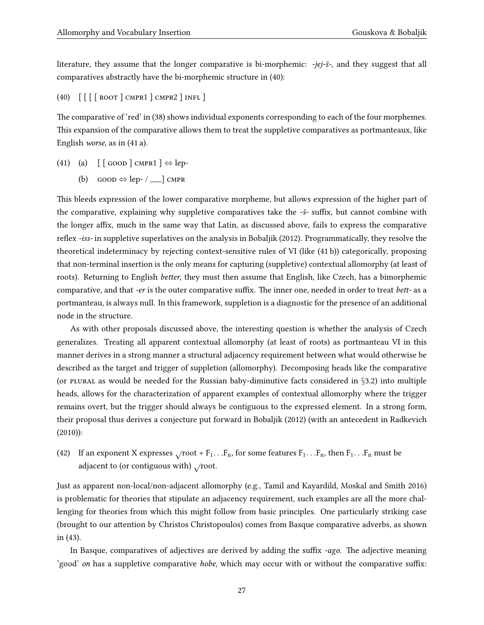literature, they assume that the longer comparative is bi-morphemic: *-jej-š-*, and they suggest that all comparatives abstractly have the bi-morphemic structure in([40\)](#page-26-0):

<span id="page-26-0"></span>(40) [ [ [ [ root ] cmpr1 ] cmpr2 ] infl ]

The comparative of 'red' in([38\)](#page-25-4) shows individual exponents corresponding to each of the four morphemes. This expansion of the comparative allows them to treat the suppletive comparatives as portmanteaux, like English *worse*, as in [\(41 a](#page-26-1)).

- <span id="page-26-2"></span><span id="page-26-1"></span>(41) (a)  $\lceil \lceil \text{GOOD} \rceil \text{CMD} \rceil \neq \text{lep}$ 
	- (b)  $\cos \varphi$  lep- / <u>\_</u>] cMPR

This bleeds expression of the lower comparative morpheme, but allows expression of the higher part of the comparative, explaining why suppletive comparatives take the *-š-* suffix, but cannot combine with the longer affix, much in the same way that Latin, as discussed above, fails to express the comparative reflex *-iss-* in suppletive superlatives on the analysis in [Bobaljik](#page-28-15) ([2012\)](#page-28-15). Programmatically, they resolve the theoretical indeterminacy by rejecting context-sensitive rules of VI (like [\(41 b\)](#page-26-2)) categorically, proposing that non-terminal insertion is the only means for capturing (suppletive) contextual allomorphy (at least of roots). Returning to English *better*, they must then assume that English, like Czech, has a bimorphemic comparative, and that *-er* is the outer comparative suffix. The inner one, needed in order to treat *bett-* as a portmanteau, is always null. In this framework, suppletion is a diagnostic for the presence of an additional node in the structure.

As with other proposals discussed above, the interesting question is whether the analysis of Czech generalizes. Treating all apparent contextual allomorphy (at least of roots) as portmanteau VI in this manner derives in a strong manner a structural adjacency requirement between what would otherwise be described as the target and trigger of suppletion (allomorphy). Decomposing heads like the comparative (or plural as would be needed for the Russian baby-diminutive facts considered in *§*[3.2](#page-7-1)) into multiple heads, allows for the characterization of apparent examples of contextual allomorphy where the trigger remains overt, but the trigger should always be contiguous to the expressed element. In a strong form, their proposal thus derives a conjecture put forward in [Bobaljik](#page-28-15) ([2012\)](#page-28-15) (with an antecedent in [Radkevich](#page-32-17)  $(2010)$ :

(42) If an exponent X expresses  $\sqrt{\text{root}} + F_1 \dots F_n$ , for some features  $F_1 \dots F_n$ , then  $F_1 \dots F_n$  must be adjacent to (or contiguous with) *√*root.

Just as apparent non-local/non-adjacent allomorphy (e.g., Tamil and Kayardild, [Moskal and Smith](#page-31-7) [2016\)](#page-31-7) is problematic for theories that stipulate an adjacency requirement, such examples are all the more challenging for theories from which this might follow from basic principles. One particularly striking case (brought to our attention by Christos Christopoulos) comes from Basque comparative adverbs, as shown in([43\)](#page-27-4).

In Basque, comparatives of adjectives are derived by adding the suffix *-ago*. The adjective meaning 'good' *on* has a suppletive comparative *hobe*, which may occur with or without the comparative suffix: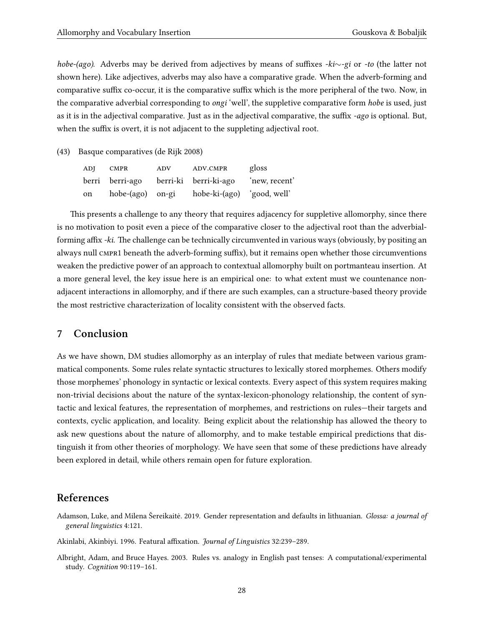*hobe-(ago)*. Adverbs may be derived from adjectives by means of suffixes *-ki∼-gi* or *-to* (the latter not shown here). Like adjectives, adverbs may also have a comparative grade. When the adverb-forming and comparative suffix co-occur, it is the comparative suffix which is the more peripheral of the two. Now, in the comparative adverbial corresponding to *ongi* 'well', the suppletive comparative form *hobe* is used, just as it is in the adjectival comparative. Just as in the adjectival comparative, the suffix *-ago* is optional. But, when the suffix is overt, it is not adjacent to the suppleting adjectival root.

<span id="page-27-4"></span>(43) Basque comparatives [\(de Rijk](#page-32-20) [2008](#page-32-20))

| ADJ | <b>CMPR</b>      | $\mathbf{ADV}$ | ADV.CMPR                   | gloss         |
|-----|------------------|----------------|----------------------------|---------------|
|     | berri berri-ago  |                | berri-ki berri-ki-ago      | 'new, recent' |
| on  | hobe-(ago) on-gi |                | hobe-ki-(ago) 'good, well' |               |

This presents a challenge to any theory that requires adjacency for suppletive allomorphy, since there is no motivation to posit even a piece of the comparative closer to the adjectival root than the adverbialforming affix *-ki*. The challenge can be technically circumvented in various ways (obviously, by positing an always null cmpr1 beneath the adverb-forming suffix), but it remains open whether those circumventions weaken the predictive power of an approach to contextual allomorphy built on portmanteau insertion. At a more general level, the key issue here is an empirical one: to what extent must we countenance nonadjacent interactions in allomorphy, and if there are such examples, can a structure-based theory provide the most restrictive characterization of locality consistent with the observed facts.

### <span id="page-27-0"></span>**7 Conclusion**

As we have shown, DM studies allomorphy as an interplay of rules that mediate between various grammatical components. Some rules relate syntactic structures to lexically stored morphemes. Others modify those morphemes' phonology in syntactic or lexical contexts. Every aspect of this system requires making non-trivial decisions about the nature of the syntax-lexicon-phonology relationship, the content of syntactic and lexical features, the representation of morphemes, and restrictions on rules—their targets and contexts, cyclic application, and locality. Being explicit about the relationship has allowed the theory to ask new questions about the nature of allomorphy, and to make testable empirical predictions that distinguish it from other theories of morphology. We have seen that some of these predictions have already been explored in detail, while others remain open for future exploration.

### **References**

- <span id="page-27-1"></span>Adamson, Luke, and Milena Šereikaitė. 2019. Gender representation and defaults in lithuanian. *Glossa: a journal of general linguistics* 4:121.
- <span id="page-27-3"></span>Akinlabi, Akinbiyi. 1996. Featural affixation. *Journal of Linguistics* 32:239–289.
- <span id="page-27-2"></span>Albright, Adam, and Bruce Hayes. 2003. Rules vs. analogy in English past tenses: A computational/experimental study. *Cognition* 90:119–161.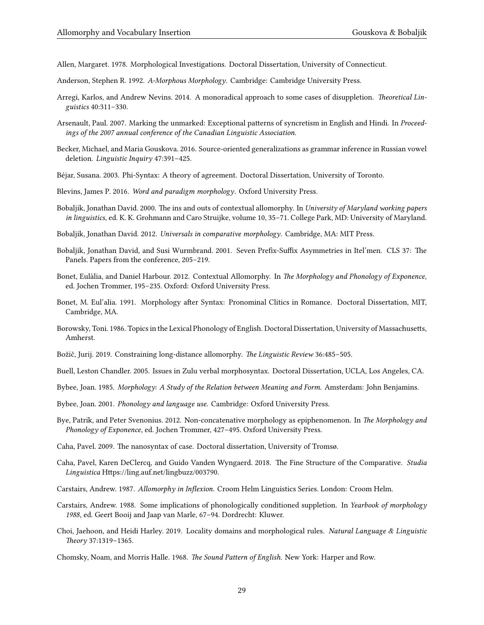<span id="page-28-12"></span>Allen, Margaret. 1978. Morphological Investigations. Doctoral Dissertation, University of Connecticut.

- <span id="page-28-6"></span>Anderson, Stephen R. 1992. *A-Morphous Morphology*. Cambridge: Cambridge University Press.
- <span id="page-28-5"></span>Arregi, Karlos, and Andrew Nevins. 2014. A monoradical approach to some cases of disuppletion. *Theoretical Linguistics* 40:311–330.
- <span id="page-28-17"></span>Arsenault, Paul. 2007. Marking the unmarked: Exceptional patterns of syncretism in English and Hindi. In *Proceedings of the 2007 annual conference of the Canadian Linguistic Association*.
- <span id="page-28-20"></span>Becker, Michael, and Maria Gouskova. 2016. Source-oriented generalizations as grammar inference in Russian vowel deletion. *Linguistic Inquiry* 47:391–425.
- <span id="page-28-11"></span>Béjar, Susana. 2003. Phi-Syntax: A theory of agreement. Doctoral Dissertation, University of Toronto.
- <span id="page-28-7"></span>Blevins, James P. 2016. *Word and paradigm morphology*. Oxford University Press.
- <span id="page-28-1"></span>Bobaljik, Jonathan David. 2000. The ins and outs of contextual allomorphy. In *University of Maryland working papers in linguistics*, ed. K. K. Grohmann and Caro Struijke, volume 10, 35–71. College Park, MD: University of Maryland.
- <span id="page-28-15"></span>Bobaljik, Jonathan David. 2012. *Universals in comparative morphology*. Cambridge, MA: MIT Press.
- <span id="page-28-9"></span>Bobaljik, Jonathan David, and Susi Wurmbrand. 2001. Seven Prefix-Suffix Asymmetries in Itel'men. CLS 37: The Panels. Papers from the conference, 205–219.
- <span id="page-28-10"></span>Bonet, Eulàlia, and Daniel Harbour. 2012. Contextual Allomorphy. In *The Morphology and Phonology of Exponence*, ed. Jochen Trommer, 195–235. Oxford: Oxford University Press.
- <span id="page-28-18"></span>Bonet, M. Eul'alia. 1991. Morphology after Syntax: Pronominal Clitics in Romance. Doctoral Dissertation, MIT, Cambridge, MA.
- <span id="page-28-2"></span>Borowsky, Toni. 1986. Topics in the Lexical Phonology of English. Doctoral Dissertation, University of Massachusetts, Amherst.
- <span id="page-28-13"></span>Božič, Jurij. 2019. Constraining long-distance allomorphy. *The Linguistic Review* 36:485–505.
- <span id="page-28-21"></span>Buell, Leston Chandler. 2005. Issues in Zulu verbal morphosyntax. Doctoral Dissertation, UCLA, Los Angeles, CA.
- <span id="page-28-16"></span>Bybee, Joan. 1985. *Morphology: A Study of the Relation between Meaning and Form*. Amsterdam: John Benjamins.
- <span id="page-28-4"></span>Bybee, Joan. 2001. *Phonology and language use*. Cambridge: Oxford University Press.
- <span id="page-28-3"></span>Bye, Patrik, and Peter Svenonius. 2012. Non-concatenative morphology as epiphenomenon. In *The Morphology and Phonology of Exponence*, ed. Jochen Trommer, 427–495. Oxford University Press.
- <span id="page-28-19"></span>Caha, Pavel. 2009. The nanosyntax of case. Doctoral dissertation, University of Tromsø.
- <span id="page-28-23"></span>Caha, Pavel, Karen DeClercq, and Guido Vanden Wyngaerd. 2018. The Fine Structure of the Comparative. *Studia Linguistica* Https://ling.auf.net/lingbuzz/003790.
- <span id="page-28-8"></span>Carstairs, Andrew. 1987. *Allomorphy in Inflexion*. Croom Helm Linguistics Series. London: Croom Helm.
- <span id="page-28-22"></span>Carstairs, Andrew. 1988. Some implications of phonologically conditioned suppletion. In *Yearbook of morphology 1988*, ed. Geert Booij and Jaap van Marle, 67–94. Dordrecht: Kluwer.
- <span id="page-28-14"></span>Choi, Jaehoon, and Heidi Harley. 2019. Locality domains and morphological rules. *Natural Language & Linguistic Theory* 37:1319–1365.
- <span id="page-28-0"></span>Chomsky, Noam, and Morris Halle. 1968. *The Sound Pattern of English*. New York: Harper and Row.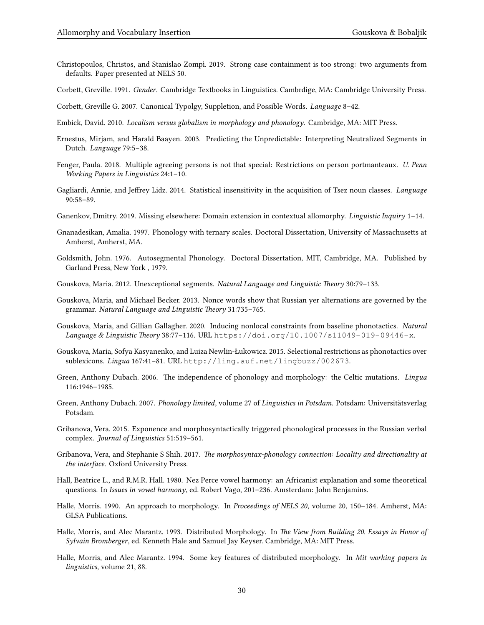- <span id="page-29-14"></span>Christopoulos, Christos, and Stanislao Zompì. 2019. Strong case containment is too strong: two arguments from defaults. Paper presented at NELS 50.
- <span id="page-29-19"></span>Corbett, Greville. 1991. *Gender*. Cambridge Textbooks in Linguistics. Cambrdige, MA: Cambridge University Press.

<span id="page-29-5"></span>Corbett, Greville G. 2007. Canonical Typolgy, Suppletion, and Possible Words. *Language* 8–42.

- <span id="page-29-9"></span>Embick, David. 2010. *Localism versus globalism in morphology and phonology*. Cambridge, MA: MIT Press.
- <span id="page-29-16"></span>Ernestus, Mirjam, and Harald Baayen. 2003. Predicting the Unpredictable: Interpreting Neutralized Segments in Dutch. *Language* 79:5–38.
- <span id="page-29-21"></span>Fenger, Paula. 2018. Multiple agreeing persons is not that special: Restrictions on person portmanteaux. *U. Penn Working Papers in Linguistics* 24:1–10.
- <span id="page-29-20"></span>Gagliardi, Annie, and Jeffrey Lidz. 2014. Statistical insensitivity in the acquisition of Tsez noun classes. *Language* 90:58–89.
- <span id="page-29-10"></span>Ganenkov, Dmitry. 2019. Missing elsewhere: Domain extension in contextual allomorphy. *Linguistic Inquiry* 1–14.
- <span id="page-29-12"></span>Gnanadesikan, Amalia. 1997. Phonology with ternary scales. Doctoral Dissertation, University of Massachusetts at Amherst, Amherst, MA.
- <span id="page-29-18"></span>Goldsmith, John. 1976. Autosegmental Phonology. Doctoral Dissertation, MIT, Cambridge, MA. Published by Garland Press, New York , 1979.
- <span id="page-29-6"></span>Gouskova, Maria. 2012. Unexceptional segments. *Natural Language and Linguistic Theory* 30:79–133.
- <span id="page-29-17"></span>Gouskova, Maria, and Michael Becker. 2013. Nonce words show that Russian yer alternations are governed by the grammar. *Natural Language and Linguistic Theory* 31:735–765.
- <span id="page-29-11"></span>Gouskova, Maria, and Gillian Gallagher. 2020. Inducing nonlocal constraints from baseline phonotactics. *Natural Language & Linguistic Theory* 38:77–116. URL <https://doi.org/10.1007/s11049-019-09446-x>.
- <span id="page-29-3"></span>Gouskova, Maria, Sofya Kasyanenko, and Luiza Newlin-Łukowicz. 2015. Selectional restrictions as phonotactics over sublexicons. *Lingua* 167:41–81. URL <http://ling.auf.net/lingbuzz/002673>.
- <span id="page-29-4"></span>Green, Anthony Dubach. 2006. The independence of phonology and morphology: the Celtic mutations. *Lingua* 116:1946–1985.
- <span id="page-29-2"></span>Green, Anthony Dubach. 2007. *Phonology limited*, volume 27 of *Linguistics in Potsdam*. Potsdam: Universitätsverlag Potsdam.
- <span id="page-29-15"></span>Gribanova, Vera. 2015. Exponence and morphosyntactically triggered phonological processes in the Russian verbal complex. *Journal of Linguistics* 51:519–561.
- <span id="page-29-8"></span>Gribanova, Vera, and Stephanie S Shih. 2017. *The morphosyntax-phonology connection: Locality and directionality at the interface*. Oxford University Press.
- <span id="page-29-13"></span>Hall, Beatrice L., and R.M.R. Hall. 1980. Nez Perce vowel harmony: an Africanist explanation and some theoretical questions. In *Issues in vowel harmony*, ed. Robert Vago, 201–236. Amsterdam: John Benjamins.
- <span id="page-29-1"></span>Halle, Morris. 1990. An approach to morphology. In *Proceedings of NELS 20*, volume 20, 150–184. Amherst, MA: GLSA Publications.
- <span id="page-29-0"></span>Halle, Morris, and Alec Marantz. 1993. Distributed Morphology. In *The View from Building 20. Essays in Honor of Sylvain Bromberger*, ed. Kenneth Hale and Samuel Jay Keyser. Cambridge, MA: MIT Press.
- <span id="page-29-7"></span>Halle, Morris, and Alec Marantz. 1994. Some key features of distributed morphology. In *Mit working papers in linguistics*, volume 21, 88.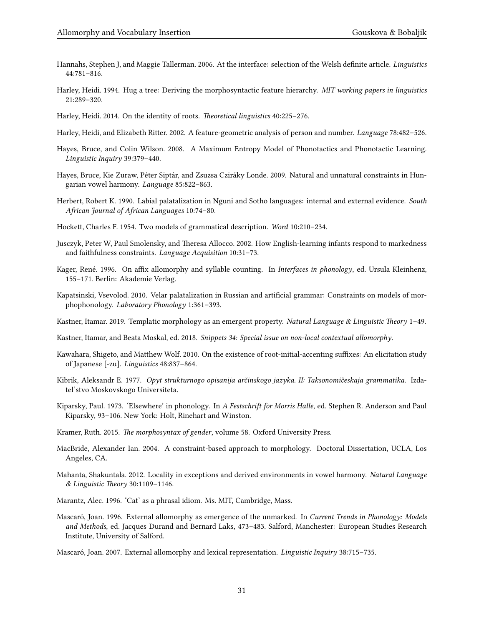- <span id="page-30-8"></span>Hannahs, Stephen J, and Maggie Tallerman. 2006. At the interface: selection of the Welsh definite article. *Linguistics* 44:781–816.
- <span id="page-30-12"></span>Harley, Heidi. 1994. Hug a tree: Deriving the morphosyntactic feature hierarchy. *MIT working papers in linguistics* 21:289–320.
- <span id="page-30-15"></span>Harley, Heidi. 2014. On the identity of roots. *Theoretical linguistics* 40:225–276.
- <span id="page-30-13"></span>Harley, Heidi, and Elizabeth Ritter. 2002. A feature-geometric analysis of person and number. *Language* 78:482–526.
- <span id="page-30-20"></span>Hayes, Bruce, and Colin Wilson. 2008. A Maximum Entropy Model of Phonotactics and Phonotactic Learning. *Linguistic Inquiry* 39:379–440.
- <span id="page-30-21"></span>Hayes, Bruce, Kie Zuraw, Péter Siptár, and Zsuzsa Cziráky Londe. 2009. Natural and unnatural constraints in Hungarian vowel harmony. *Language* 85:822–863.
- <span id="page-30-9"></span>Herbert, Robert K. 1990. Labial palatalization in Nguni and Sotho languages: internal and external evidence. *South African Journal of African Languages* 10:74–80.
- <span id="page-30-6"></span>Hockett, Charles F. 1954. Two models of grammatical description. *Word* 10:210–234.
- <span id="page-30-1"></span>Jusczyk, Peter W, Paul Smolensky, and Theresa Allocco. 2002. How English-learning infants respond to markedness and faithfulness constraints. *Language Acquisition* 10:31–73.
- <span id="page-30-19"></span>Kager, René. 1996. On affix allomorphy and syllable counting. In *Interfaces in phonology*, ed. Ursula Kleinhenz, 155–171. Berlin: Akademie Verlag.
- <span id="page-30-3"></span>Kapatsinski, Vsevolod. 2010. Velar palatalization in Russian and artificial grammar: Constraints on models of morphophonology. *Laboratory Phonology* 1:361–393.
- <span id="page-30-7"></span>Kastner, Itamar. 2019. Templatic morphology as an emergent property. *Natural Language & Linguistic Theory* 1–49.
- <span id="page-30-5"></span>Kastner, Itamar, and Beata Moskal, ed. 2018. *Snippets 34: Special issue on non-local contextual allomorphy*.
- <span id="page-30-18"></span>Kawahara, Shigeto, and Matthew Wolf. 2010. On the existence of root-initial-accenting suffixes: An elicitation study of Japanese [-zu]. *Linguistics* 48:837–864.
- <span id="page-30-16"></span>Kibrik, Aleksandr E. 1977. *Opyt strukturnogo opisanija arčinskogo jazyka. II: Taksonomičeskaja grammatika*. Izdatel'stvo Moskovskogo Universiteta.
- <span id="page-30-0"></span>Kiparsky, Paul. 1973. 'Elsewhere' in phonology. In *A Festschrift for Morris Halle*, ed. Stephen R. Anderson and Paul Kiparsky, 93–106. New York: Holt, Rinehart and Winston.
- <span id="page-30-11"></span>Kramer, Ruth. 2015. *The morphosyntax of gender*, volume 58. Oxford University Press.
- <span id="page-30-10"></span>MacBride, Alexander Ian. 2004. A constraint-based approach to morphology. Doctoral Dissertation, UCLA, Los Angeles, CA.
- <span id="page-30-17"></span>Mahanta, Shakuntala. 2012. Locality in exceptions and derived environments in vowel harmony. *Natural Language & Linguistic Theory* 30:1109–1146.
- <span id="page-30-14"></span>Marantz, Alec. 1996. 'Cat' as a phrasal idiom. Ms. MIT, Cambridge, Mass.
- <span id="page-30-4"></span>Mascaró, Joan. 1996. External allomorphy as emergence of the unmarked. In *Current Trends in Phonology: Models and Methods*, ed. Jacques Durand and Bernard Laks, 473–483. Salford, Manchester: European Studies Research Institute, University of Salford.
- <span id="page-30-2"></span>Mascaró, Joan. 2007. External allomorphy and lexical representation. *Linguistic Inquiry* 38:715–735.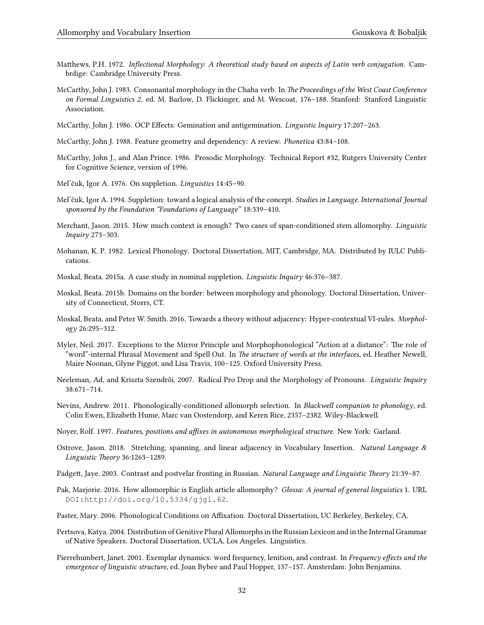- <span id="page-31-0"></span>Matthews, P.H. 1972. *Inflectional Morphology: A theoretical study based on aspects of Latin verb conjugation*. Cambrdige: Cambridge University Press.
- <span id="page-31-14"></span>McCarthy, John J. 1983. Consonantal morphology in the Chaha verb. In *The Proceedings of the West Coast Conference on Formal Linguistics 2*, ed. M. Barlow, D. Flickinger, and M. Wescoat, 176–188. Stanford: Stanford Linguistic Association.
- <span id="page-31-15"></span>McCarthy, John J. 1986. OCP Effects: Gemination and antigemination. *Linguistic Inquiry* 17:207–263.
- <span id="page-31-11"></span>McCarthy, John J. 1988. Feature geometry and dependency: A review. *Phonetica* 43:84–108.
- <span id="page-31-16"></span>McCarthy, John J., and Alan Prince. 1986. Prosodic Morphology. Technical Report #32, Rutgers University Center for Cognitive Science, version of 1996.
- <span id="page-31-5"></span>Mel'čuk, Igor A. 1976. On suppletion. *Linguistics* 14:45–90.
- <span id="page-31-6"></span>Mel'čuk, Igor A. 1994. Suppletion: toward a logical analysis of the concept. *Studies in Language. International Journal sponsored by the Foundation "Foundations of Language"* 18:339–410.
- <span id="page-31-21"></span>Merchant, Jason. 2015. How much context is enough? Two cases of span-conditioned stem allomorphy. *Linguistic Inquiry* 273–303.
- <span id="page-31-2"></span>Mohanan, K. P. 1982. Lexical Phonology. Doctoral Dissertation, MIT, Cambridge, MA. Distributed by IULC Publications.
- <span id="page-31-10"></span>Moskal, Beata. 2015a. A case study in nominal suppletion. *Linguistic Inquiry* 46:376–387.
- <span id="page-31-9"></span>Moskal, Beata. 2015b. Domains on the border: between morphology and phonology. Doctoral Dissertation, University of Connecticut, Storrs, CT.
- <span id="page-31-7"></span>Moskal, Beata, and Peter W. Smith. 2016. Towards a theory without adjacency: Hyper-contextual VI-rules. *Morphology* 26:295–312.
- <span id="page-31-1"></span>Myler, Neil. 2017. Exceptions to the Mirror Principle and Morphophonological "Action at a distance": The role of "word"-internal Phrasal Movement and Spell Out. In *The structure of words at the interfaces*, ed. Heather Newell, Maire Noonan, Glyne Piggot, and Lisa Travis, 100–125. Oxford University Press.
- <span id="page-31-20"></span>Neeleman, Ad, and Kriszta Szendrői. 2007. Radical Pro Drop and the Morphology of Pronouns. *Linguistic Inquiry* 38:671–714.
- <span id="page-31-18"></span>Nevins, Andrew. 2011. Phonologically-conditioned allomorph selection. In *Blackwell companion to phonology*, ed. Colin Ewen, Elizabeth Hume, Marc van Oostendorp, and Keren Rice, 2357–2382. Wiley-Blackwell.
- <span id="page-31-13"></span>Noyer, Rolf. 1997. *Features, positions and affixes in autonomous morphological structure*. New York: Garland.
- <span id="page-31-8"></span>Ostrove, Jason. 2018. Stretching, spanning, and linear adjacency in Vocabulary Insertion. *Natural Language & Linguistic Theory* 36:1263–1289.
- <span id="page-31-3"></span>Padgett, Jaye. 2003. Contrast and postvelar fronting in Russian. *Natural Language and Linguistic Theory* 21:39–87.
- <span id="page-31-17"></span>Pak, Marjorie. 2016. How allomorphic is English article allomorphy? *Glossa: A journal of general linguistics* 1. URL [DOI:http://doi.org/10.5334/gjgl.62](DOI: http://doi.org/10.5334/gjgl.62).
- <span id="page-31-19"></span>Paster, Mary. 2006. Phonological Conditions on Affixation. Doctoral Dissertation, UC Berkeley, Berkeley, CA.
- <span id="page-31-12"></span>Pertsova, Katya. 2004. Distribution of Genitive Plural Allomorphs in the Russian Lexicon and in the Internal Grammar of Native Speakers. Doctoral Dissertation, UCLA, Los Angeles. Linguistics.
- <span id="page-31-4"></span>Pierrehumbert, Janet. 2001. Exemplar dynamics: word frequency, lenition, and contrast. In *Frequency effects and the emergence of linguistic structure*, ed. Joan Bybee and Paul Hopper, 137–157. Amsterdam: John Benjamins.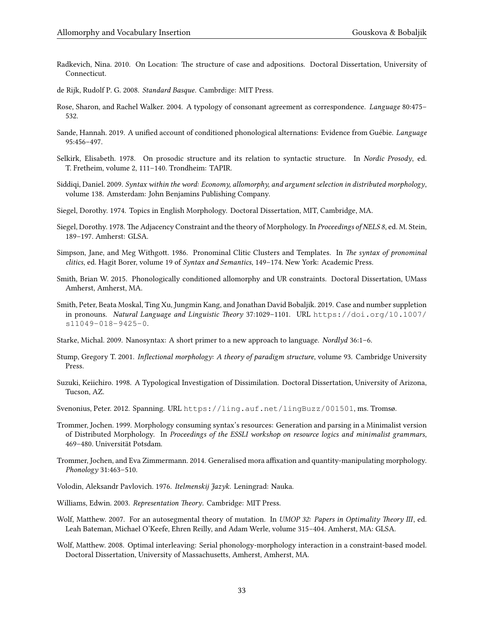- <span id="page-32-17"></span>Radkevich, Nina. 2010. On Location: The structure of case and adpositions. Doctoral Dissertation, University of Connecticut.
- <span id="page-32-20"></span>de Rijk, Rudolf P. G. 2008. *Standard Basque*. Cambrdige: MIT Press.
- <span id="page-32-7"></span>Rose, Sharon, and Rachel Walker. 2004. A typology of consonant agreement as correspondence. *Language* 80:475– 532.
- <span id="page-32-11"></span>Sande, Hannah. 2019. A unified account of conditioned phonological alternations: Evidence from Guébie. *Language* 95:456–497.
- <span id="page-32-12"></span>Selkirk, Elisabeth. 1978. On prosodic structure and its relation to syntactic structure. In *Nordic Prosody*, ed. T. Fretheim, volume 2, 111–140. Trondheim: TAPIR.
- <span id="page-32-10"></span>Siddiqi, Daniel. 2009. *Syntax within the word: Economy, allomorphy, and argument selection in distributed morphology*, volume 138. Amsterdam: John Benjamins Publishing Company.
- <span id="page-32-14"></span>Siegel, Dorothy. 1974. Topics in English Morphology. Doctoral Dissertation, MIT, Cambridge, MA.
- <span id="page-32-4"></span>Siegel, Dorothy. 1978. The Adjacency Constraint and the theory of Morphology. In *Proceedings of NELS 8*, ed. M. Stein, 189–197. Amherst: GLSA.
- <span id="page-32-3"></span>Simpson, Jane, and Meg Withgott. 1986. Pronominal Clitic Clusters and Templates. In *The syntax of pronominal clitics*, ed. Hagit Borer, volume 19 of *Syntax and Semantics*, 149–174. New York: Academic Press.
- <span id="page-32-15"></span>Smith, Brian W. 2015. Phonologically conditioned allomorphy and UR constraints. Doctoral Dissertation, UMass Amherst, Amherst, MA.
- <span id="page-32-5"></span>Smith, Peter, Beata Moskal, Ting Xu, Jungmin Kang, and Jonathan David Bobaljik. 2019. Case and number suppletion in pronouns. *Natural Language and Linguistic Theory* 37:1029–1101. URL [https://doi.org/10.1007/](https://doi.org/10.1007/s11049-018-9425-0) [s11049-018-9425-0](https://doi.org/10.1007/s11049-018-9425-0).
- <span id="page-32-16"></span>Starke, Michal. 2009. Nanosyntax: A short primer to a new approach to language. *Nordlyd* 36:1–6.
- <span id="page-32-1"></span>Stump, Gregory T. 2001. *Inflectional morphology: A theory of paradigm structure*, volume 93. Cambridge University Press.
- <span id="page-32-8"></span>Suzuki, Keiichiro. 1998. A Typological Investigation of Dissimilation. Doctoral Dissertation, University of Arizona, Tucson, AZ.
- <span id="page-32-19"></span>Svenonius, Peter. 2012. Spanning. URL <https://ling.auf.net/lingBuzz/001501>, ms. Tromsø.
- <span id="page-32-6"></span>Trommer, Jochen. 1999. Morphology consuming syntax's resources: Generation and parsing in a Minimalist version of Distributed Morphology. In *Proceedings of the ESSLI workshop on resource logics and minimalist grammars*, 469–480. Universität Potsdam.
- <span id="page-32-13"></span>Trommer, Jochen, and Eva Zimmermann. 2014. Generalised mora affixation and quantity-manipulating morphology. *Phonology* 31:463–510.
- <span id="page-32-2"></span>Volodin, Aleksandr Pavlovich. 1976. *Itelmenskij Jazyk*. Leningrad: Nauka.
- <span id="page-32-18"></span>Williams, Edwin. 2003. *Representation Theory*. Cambridge: MIT Press.
- <span id="page-32-9"></span>Wolf, Matthew. 2007. For an autosegmental theory of mutation. In *UMOP 32: Papers in Optimality Theory III*, ed. Leah Bateman, Michael O'Keefe, Ehren Reilly, and Adam Werle, volume 315–404. Amherst, MA: GLSA.
- <span id="page-32-0"></span>Wolf, Matthew. 2008. Optimal interleaving: Serial phonology-morphology interaction in a constraint-based model. Doctoral Dissertation, University of Massachusetts, Amherst, Amherst, MA.